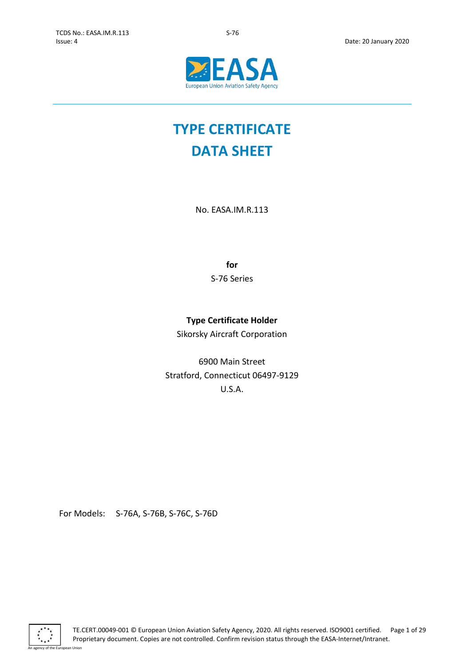

# **TYPE CERTIFICATE DATA SHEET**

No. EASA.IM.R.113

**for**

S-76 Series

# **Type Certificate Holder**

Sikorsky Aircraft Corporation

6900 Main Street Stratford, Connecticut 06497-9129 U.S.A.

For Models: S-76A, S-76B, S-76C, S-76D

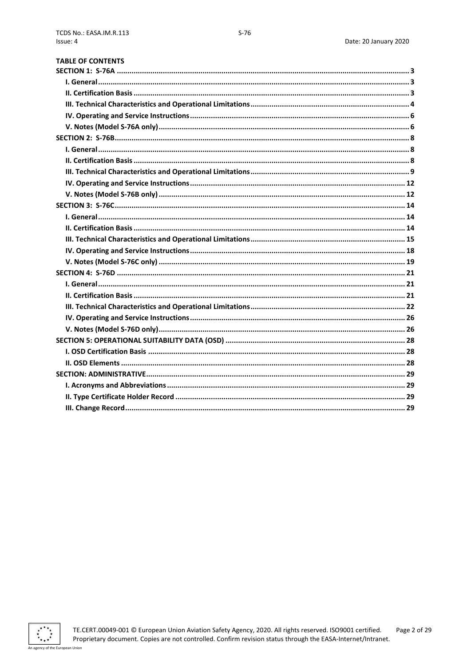| <b>TABLE OF CONTENTS</b> |  |
|--------------------------|--|
|                          |  |
|                          |  |
|                          |  |
|                          |  |
|                          |  |
|                          |  |
|                          |  |
|                          |  |
|                          |  |
|                          |  |
|                          |  |
|                          |  |
|                          |  |
|                          |  |
|                          |  |
|                          |  |
|                          |  |
|                          |  |
|                          |  |
|                          |  |
|                          |  |
|                          |  |
|                          |  |
|                          |  |
|                          |  |
|                          |  |
|                          |  |
|                          |  |
|                          |  |
|                          |  |
|                          |  |

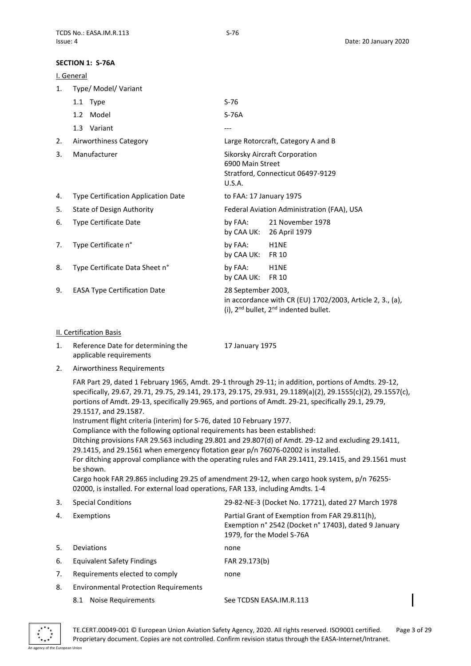# <span id="page-2-0"></span>**SECTION 1: S-76A**

<span id="page-2-1"></span>

|    | SECTION 1: 5-76A                                                                                                                                                                                                                                                                                                                                                                                                                                                                                    |                            |                                                                                                                            |
|----|-----------------------------------------------------------------------------------------------------------------------------------------------------------------------------------------------------------------------------------------------------------------------------------------------------------------------------------------------------------------------------------------------------------------------------------------------------------------------------------------------------|----------------------------|----------------------------------------------------------------------------------------------------------------------------|
|    | I. General                                                                                                                                                                                                                                                                                                                                                                                                                                                                                          |                            |                                                                                                                            |
| 1. | Type/ Model/ Variant                                                                                                                                                                                                                                                                                                                                                                                                                                                                                |                            |                                                                                                                            |
|    | 1.1 Type                                                                                                                                                                                                                                                                                                                                                                                                                                                                                            | $S-76$                     |                                                                                                                            |
|    | 1.2 Model                                                                                                                                                                                                                                                                                                                                                                                                                                                                                           | $S-76A$                    |                                                                                                                            |
|    | 1.3 Variant                                                                                                                                                                                                                                                                                                                                                                                                                                                                                         |                            |                                                                                                                            |
| 2. | Airworthiness Category                                                                                                                                                                                                                                                                                                                                                                                                                                                                              |                            | Large Rotorcraft, Category A and B                                                                                         |
| 3. | Manufacturer                                                                                                                                                                                                                                                                                                                                                                                                                                                                                        | 6900 Main Street<br>U.S.A. | Sikorsky Aircraft Corporation<br>Stratford, Connecticut 06497-9129                                                         |
| 4. | Type Certification Application Date                                                                                                                                                                                                                                                                                                                                                                                                                                                                 | to FAA: 17 January 1975    |                                                                                                                            |
| 5. | <b>State of Design Authority</b>                                                                                                                                                                                                                                                                                                                                                                                                                                                                    |                            | Federal Aviation Administration (FAA), USA                                                                                 |
| 6. | <b>Type Certificate Date</b>                                                                                                                                                                                                                                                                                                                                                                                                                                                                        | by FAA:<br>by CAA UK:      | 21 November 1978<br>26 April 1979                                                                                          |
| 7. | Type Certificate n°                                                                                                                                                                                                                                                                                                                                                                                                                                                                                 | by FAA:<br>by CAA UK:      | H1NE<br><b>FR 10</b>                                                                                                       |
| 8. | Type Certificate Data Sheet n°                                                                                                                                                                                                                                                                                                                                                                                                                                                                      | by FAA:<br>by CAA UK:      | H1NE<br><b>FR 10</b>                                                                                                       |
| 9. | <b>EASA Type Certification Date</b>                                                                                                                                                                                                                                                                                                                                                                                                                                                                 | 28 September 2003,         | in accordance with CR (EU) 1702/2003, Article 2, 3., (a),<br>(i), 2 <sup>nd</sup> bullet, 2 <sup>nd</sup> indented bullet. |
|    | II. Certification Basis                                                                                                                                                                                                                                                                                                                                                                                                                                                                             |                            |                                                                                                                            |
| 1. | Reference Date for determining the<br>applicable requirements                                                                                                                                                                                                                                                                                                                                                                                                                                       | 17 January 1975            |                                                                                                                            |
| 2. | Airworthiness Requirements                                                                                                                                                                                                                                                                                                                                                                                                                                                                          |                            |                                                                                                                            |
|    | FAR Part 29, dated 1 February 1965, Amdt. 29-1 through 29-11; in addition, portions of Amdts. 29-12,<br>portions of Amdt. 29-13, specifically 29.965, and portions of Amdt. 29-21, specifically 29.1, 29.79,<br>29.1517, and 29.1587.<br>Instrument flight criteria (interim) for S-76, dated 10 February 1977.<br>Compliance with the following optional requirements has been established:<br>Ditching provisions FAR 29.563 including 29.801 and 29.807(d) of Amdt. 29-12 and excluding 29.1411, |                            | specifically, 29.67, 29.71, 29.75, 29.141, 29.173, 29.175, 29.931, 29.1189(a)(2), 29.1555(c)(2), 29.1557(c),               |

<span id="page-2-2"></span>29.1415, and 29.1561 when emergency flotation gear p/n 76076-02002 is installed.

For ditching approval compliance with the operating rules and FAR 29.1411, 29.1415, and 29.1561 must be shown.

Cargo hook FAR 29.865 including 29.25 of amendment 29-12, when cargo hook system, p/n 76255- 02000, is installed. For external load operations, FAR 133, including Amdts. 1-4

| 3. | <b>Special Conditions</b>                    | 29-82-NE-3 (Docket No. 17721), dated 27 March 1978                                                                                  |
|----|----------------------------------------------|-------------------------------------------------------------------------------------------------------------------------------------|
| 4. | Exemptions                                   | Partial Grant of Exemption from FAR 29.811(h),<br>Exemption n° 2542 (Docket n° 17403), dated 9 January<br>1979, for the Model S-76A |
| 5. | Deviations                                   | none                                                                                                                                |
| 6. | Equivalent Safety Findings                   | FAR 29.173(b)                                                                                                                       |
| 7. | Requirements elected to comply               | none                                                                                                                                |
| 8. | <b>Environmental Protection Requirements</b> |                                                                                                                                     |
|    | Noise Requirements<br>8.1                    | See TCDSN EASA.IM.R.113                                                                                                             |

TE.CERT.00049-001 © European Union Aviation Safety Agency, 2020. All rights reserved. ISO9001 certified. Page 3 of 29 Proprietary document. Copies are not controlled. Confirm revision status through the EASA-Internet/Intranet.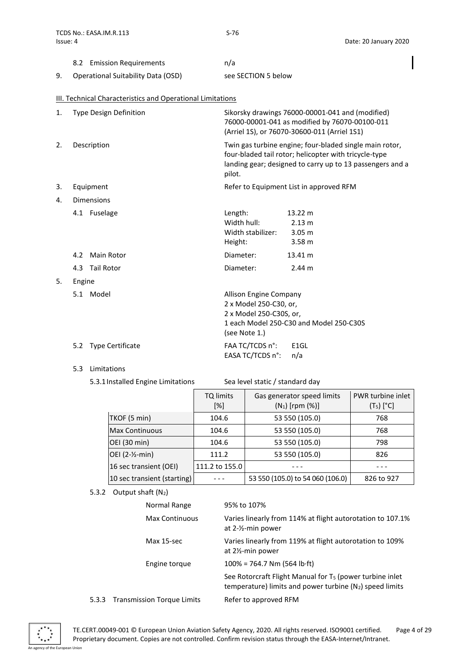|    | 8.2 Emission Requirements          | n/a                 |
|----|------------------------------------|---------------------|
| 9. | Operational Suitability Data (OSD) | see SECTION 5 below |

# <span id="page-3-0"></span>III. Technical Characteristics and Operational Limitations

|    | Type Design Definition | Sikorsky drawings 76000-00001-041 and (modified)<br>76000-00001-041 as modified by 76070-00100-011<br>(Arriel 1S), or 76070-30600-011 (Arriel 1S1)                                      |
|----|------------------------|-----------------------------------------------------------------------------------------------------------------------------------------------------------------------------------------|
| 2. | Description            | Twin gas turbine engine; four-bladed single main rotor,<br>four-bladed tail rotor; helicopter with tricycle-type<br>landing gear; designed to carry up to 13 passengers and a<br>pilot. |
| 3. | Equipment              | Refer to Equipment List in approved RFM                                                                                                                                                 |
| 4. | <b>Dimensions</b>      |                                                                                                                                                                                         |

|     |       | Length:                                                                            | 13.22 m                                 |
|-----|-------|------------------------------------------------------------------------------------|-----------------------------------------|
|     |       | Width hull:                                                                        | 2.13 m                                  |
|     |       | Width stabilizer:                                                                  | 3.05 <sub>m</sub>                       |
|     |       | Height:                                                                            | 3.58 <sub>m</sub>                       |
|     |       | Diameter:                                                                          | 13.41 m                                 |
|     |       | Diameter:                                                                          | 2.44 m                                  |
|     |       |                                                                                    |                                         |
| 5.1 | Model | Allison Engine Company                                                             |                                         |
|     |       | 2 x Model 250-C30, or,                                                             |                                         |
|     |       | 2 x Model 250-C30S, or,                                                            |                                         |
|     |       |                                                                                    | 1 each Model 250-C30 and Model 250-C30S |
|     |       | (see Note 1.)                                                                      |                                         |
|     |       | FAA TC/TCDS n°:                                                                    | E <sub>1</sub> GL                       |
|     |       | EASA TC/TCDS n°:                                                                   | n/a                                     |
|     |       | 4.1 Fuselage<br>4.2 Main Rotor<br>4.3 Tail Rotor<br>Engine<br>5.2 Type Certificate |                                         |

5.3 Limitations

5. Engine

5.3.1Installed Engine Limitations Sea level static / standard day

|                              | TQ limits<br>$[\%]$ | Gas generator speed limits<br>$(N_1)$ [rpm $(\%)$ ] | PWR turbine inlet<br>$(T_5)$ [°C] |
|------------------------------|---------------------|-----------------------------------------------------|-----------------------------------|
| TKOF (5 min)                 | 104.6               | 53 550 (105.0)                                      | 768                               |
| <b>Max Continuous</b>        | 104.6               | 53 550 (105.0)                                      | 768                               |
| OEI (30 min)                 | 104.6               | 53 550 (105.0)                                      | 798                               |
| OEI (2-1/ <sub>2</sub> -min) | 111.2               | 53 550 (105.0)                                      | 826                               |
| 16 sec transient (OEI)       | 111.2 to 155.0      |                                                     |                                   |
| 10 sec transient (starting)  |                     | 53 550 (105.0) to 54 060 (106.0)                    | 826 to 927                        |

5.3.2 Output shaft  $(N_2)$ 

|       | Normal Range                      | 95% to 107%                                                                                                                     |
|-------|-----------------------------------|---------------------------------------------------------------------------------------------------------------------------------|
|       | <b>Max Continuous</b>             | Varies linearly from 114% at flight autorotation to 107.1%<br>at $2-\frac{1}{2}$ -min power                                     |
|       | Max 15-sec                        | Varies linearly from 119% at flight autorotation to 109%<br>at $2\frac{1}{2}$ -min power                                        |
|       | Engine torque                     | $100\% = 764.7$ Nm (564 lb·ft)                                                                                                  |
|       |                                   | See Rotorcraft Flight Manual for T <sub>5</sub> (power turbine inlet<br>temperature) limits and power turbine (N2) speed limits |
| 5.3.3 | <b>Transmission Torque Limits</b> | Refer to approved RFM                                                                                                           |

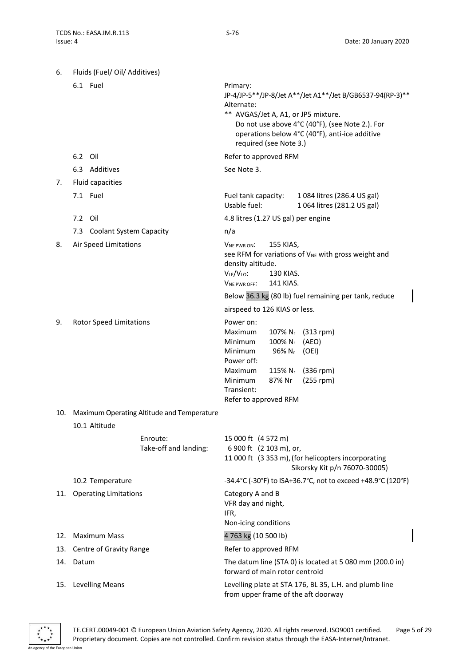| 6.  | Fluids (Fuel/ Oil/ Additives)  |                                                |                                                                                                                       |                                                                                                         |                                                                                                                                                                                                       |
|-----|--------------------------------|------------------------------------------------|-----------------------------------------------------------------------------------------------------------------------|---------------------------------------------------------------------------------------------------------|-------------------------------------------------------------------------------------------------------------------------------------------------------------------------------------------------------|
|     | 6.1 Fuel                       |                                                | Primary:<br>Alternate:                                                                                                | required (see Note 3.)                                                                                  | JP-4/JP-5**/JP-8/Jet A**/Jet A1**/Jet B/GB6537-94(RP-3)**<br>** AVGAS/Jet A, A1, or JP5 mixture.<br>Do not use above 4°C (40°F), (see Note 2.). For<br>operations below 4°C (40°F), anti-ice additive |
|     | 6.2 Oil                        |                                                | Refer to approved RFM                                                                                                 |                                                                                                         |                                                                                                                                                                                                       |
|     | 6.3 Additives                  |                                                | See Note 3.                                                                                                           |                                                                                                         |                                                                                                                                                                                                       |
| 7.  | Fluid capacities               |                                                |                                                                                                                       |                                                                                                         |                                                                                                                                                                                                       |
|     | 7.1 Fuel                       |                                                | Fuel tank capacity:<br>Usable fuel:                                                                                   |                                                                                                         | 1084 litres (286.4 US gal)<br>1 064 litres (281.2 US gal)                                                                                                                                             |
|     | 7.2 Oil                        |                                                | 4.8 litres (1.27 US gal) per engine                                                                                   |                                                                                                         |                                                                                                                                                                                                       |
|     | 7.3 Coolant System Capacity    |                                                | n/a                                                                                                                   |                                                                                                         |                                                                                                                                                                                                       |
| 8.  | Air Speed Limitations          |                                                | VNE PWR ON:<br>density altitude.<br>VLE/VLO:<br>V <sub>NE PWR OFF</sub> :                                             | 155 KIAS,<br>130 KIAS.<br>141 KIAS.                                                                     | see RFM for variations of V <sub>NE</sub> with gross weight and<br>Below 36.3 kg (80 lb) fuel remaining per tank, reduce                                                                              |
|     |                                |                                                | airspeed to 126 KIAS or less.                                                                                         |                                                                                                         |                                                                                                                                                                                                       |
| 9.  | <b>Rotor Speed Limitations</b> |                                                | Power on:<br>Maximum<br>Minimum<br>Minimum<br>Power off:<br>Maximum<br>Minimum<br>Transient:<br>Refer to approved RFM | 107% N <sub>r</sub><br>$100\%$ N <sub>r</sub><br>96% N <sub>r</sub><br>$115\%$ N <sub>r</sub><br>87% Nr | $(313$ rpm)<br>(AEO)<br>(OEI)<br>$(336$ rpm)<br>$(255$ rpm)                                                                                                                                           |
|     |                                | 10. Maximum Operating Altitude and Temperature |                                                                                                                       |                                                                                                         |                                                                                                                                                                                                       |
|     | 10.1 Altitude                  |                                                |                                                                                                                       |                                                                                                         |                                                                                                                                                                                                       |
|     |                                | Enroute:<br>Take-off and landing:              | 15 000 ft (4 572 m)<br>6 900 ft (2 103 m), or,                                                                        |                                                                                                         | 11 000 ft (3 353 m), (for helicopters incorporating<br>Sikorsky Kit p/n 76070-30005)                                                                                                                  |
|     | 10.2 Temperature               |                                                |                                                                                                                       |                                                                                                         | -34.4°C (-30°F) to ISA+36.7°C, not to exceed +48.9°C (120°F)                                                                                                                                          |
| 11. | <b>Operating Limitations</b>   |                                                | Category A and B<br>VFR day and night,<br>IFR,<br>Non-icing conditions                                                |                                                                                                         |                                                                                                                                                                                                       |
| 12. | <b>Maximum Mass</b>            |                                                | 4763 kg (10 500 lb)                                                                                                   |                                                                                                         |                                                                                                                                                                                                       |
| 13. | Centre of Gravity Range        |                                                | Refer to approved RFM                                                                                                 |                                                                                                         |                                                                                                                                                                                                       |
| 14. | Datum                          |                                                | forward of main rotor centroid                                                                                        |                                                                                                         | The datum line (STA 0) is located at 5 080 mm (200.0 in)                                                                                                                                              |
| 15. | <b>Levelling Means</b>         |                                                |                                                                                                                       |                                                                                                         | Levelling plate at STA 176, BL 35, L.H. and plumb line<br>from upper frame of the aft doorway                                                                                                         |

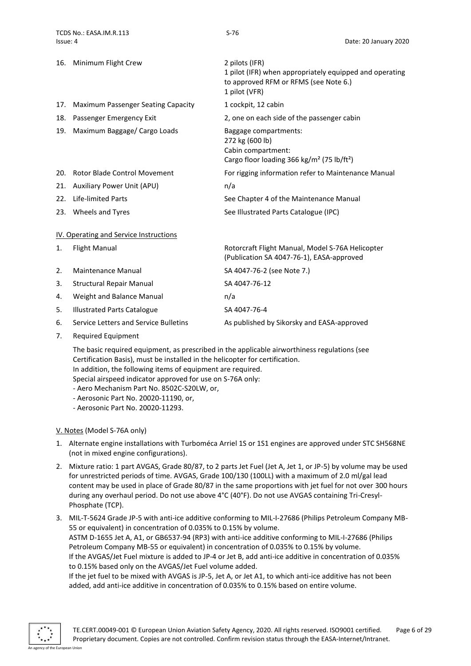|     | 16. Minimum Flight Crew             | 2 pilots (IFR)<br>1 pilot (IFR) when appropriately equipped and operating<br>to approved RFM or RFMS (see Note 6.)<br>1 pilot (VFR)  |
|-----|-------------------------------------|--------------------------------------------------------------------------------------------------------------------------------------|
| 17. | Maximum Passenger Seating Capacity  | 1 cockpit, 12 cabin                                                                                                                  |
| 18. | Passenger Emergency Exit            | 2, one on each side of the passenger cabin                                                                                           |
| 19. | Maximum Baggage/ Cargo Loads        | Baggage compartments:<br>272 kg (600 lb)<br>Cabin compartment:<br>Cargo floor loading 366 kg/m <sup>2</sup> (75 lb/ft <sup>2</sup> ) |
| 20. | <b>Rotor Blade Control Movement</b> | For rigging information refer to Maintenance Manual                                                                                  |
|     | 21. Auxiliary Power Unit (APU)      | n/a                                                                                                                                  |
| 22. | Life-limited Parts                  | See Chapter 4 of the Maintenance Manual                                                                                              |
|     | 23. Wheels and Tyres                | See Illustrated Parts Catalogue (IPC)                                                                                                |

#### <span id="page-5-0"></span>IV. Operating and Service Instructions

| 1. | <b>Flight Manual</b>                  | Rotorcraft Flight Manual, Model S-76A Helicopter<br>(Publication SA 4047-76-1), EASA-approved |
|----|---------------------------------------|-----------------------------------------------------------------------------------------------|
| 2. | Maintenance Manual                    | SA 4047-76-2 (see Note 7.)                                                                    |
| 3. | <b>Structural Repair Manual</b>       | SA 4047-76-12                                                                                 |
| 4. | Weight and Balance Manual             | n/a                                                                                           |
| 5. | <b>Illustrated Parts Catalogue</b>    | SA 4047-76-4                                                                                  |
| 6. | Service Letters and Service Bulletins | As published by Sikorsky and EASA-approved                                                    |

7. Required Equipment

The basic required equipment, as prescribed in the applicable airworthiness regulations (see Certification Basis), must be installed in the helicopter for certification. In addition, the following items of equipment are required. Special airspeed indicator approved for use on S-76A only:

- Aero Mechanism Part No. 8502C-S20LW, or,
- Aerosonic Part No. 20020-11190, or,
- Aerosonic Part No. 20020-11293.

### <span id="page-5-1"></span>V. Notes (Model S-76A only)

- 1. Alternate engine installations with Turboméca Arriel 1S or 1S1 engines are approved under STC SH568NE (not in mixed engine configurations).
- 2. Mixture ratio: 1 part AVGAS, Grade 80/87, to 2 parts Jet Fuel (Jet A, Jet 1, or JP-5) by volume may be used for unrestricted periods of time. AVGAS, Grade 100/130 (100LL) with a maximum of 2.0 ml/gal lead content may be used in place of Grade 80/87 in the same proportions with jet fuel for not over 300 hours during any overhaul period. Do not use above 4°C (40°F). Do not use AVGAS containing Tri-Cresyl-Phosphate (TCP).
- 3. MIL-T-5624 Grade JP-5 with anti-ice additive conforming to MIL-I-27686 (Philips Petroleum Company MB-55 or equivalent) in concentration of 0.035% to 0.15% by volume. ASTM D-1655 Jet A, A1, or GB6537-94 (RP3) with anti-ice additive conforming to MIL-I-27686 (Philips Petroleum Company MB-55 or equivalent) in concentration of 0.035% to 0.15% by volume. If the AVGAS/Jet Fuel mixture is added to JP-4 or Jet B, add anti-ice additive in concentration of 0.035% to 0.15% based only on the AVGAS/Jet Fuel volume added.

If the jet fuel to be mixed with AVGAS is JP-5, Jet A, or Jet A1, to which anti-ice additive has not been added, add anti-ice additive in concentration of 0.035% to 0.15% based on entire volume.

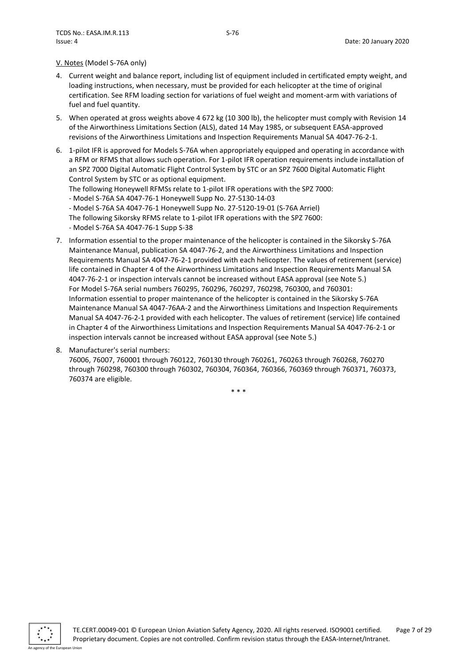#### V. Notes (Model S-76A only)

- 4. Current weight and balance report, including list of equipment included in certificated empty weight, and loading instructions, when necessary, must be provided for each helicopter at the time of original certification. See RFM loading section for variations of fuel weight and moment-arm with variations of fuel and fuel quantity.
- 5. When operated at gross weights above 4 672 kg (10 300 lb), the helicopter must comply with Revision 14 of the Airworthiness Limitations Section (ALS), dated 14 May 1985, or subsequent EASA-approved revisions of the Airworthiness Limitations and Inspection Requirements Manual SA 4047-76-2-1.
- 6. 1-pilot IFR is approved for Models S-76A when appropriately equipped and operating in accordance with a RFM or RFMS that allows such operation. For 1-pilot IFR operation requirements include installation of an SPZ 7000 Digital Automatic Flight Control System by STC or an SPZ 7600 Digital Automatic Flight Control System by STC or as optional equipment.

The following Honeywell RFMSs relate to 1-pilot IFR operations with the SPZ 7000:

- Model S-76A SA 4047-76-1 Honeywell Supp No. 27-5130-14-03
- Model S-76A SA 4047-76-1 Honeywell Supp No. 27-5120-19-01 (S-76A Arriel)

The following Sikorsky RFMS relate to 1-pilot IFR operations with the SPZ 7600:

- Model S-76A SA 4047-76-1 Supp S-38
- 7. Information essential to the proper maintenance of the helicopter is contained in the Sikorsky S-76A Maintenance Manual, publication SA 4047-76-2, and the Airworthiness Limitations and Inspection Requirements Manual SA 4047-76-2-1 provided with each helicopter. The values of retirement (service) life contained in Chapter 4 of the Airworthiness Limitations and Inspection Requirements Manual SA 4047-76-2-1 or inspection intervals cannot be increased without EASA approval (see Note 5.) For Model S-76A serial numbers 760295, 760296, 760297, 760298, 760300, and 760301: Information essential to proper maintenance of the helicopter is contained in the Sikorsky S-76A Maintenance Manual SA 4047-76AA-2 and the Airworthiness Limitations and Inspection Requirements Manual SA 4047-76-2-1 provided with each helicopter. The values of retirement (service) life contained in Chapter 4 of the Airworthiness Limitations and Inspection Requirements Manual SA 4047-76-2-1 or inspection intervals cannot be increased without EASA approval (see Note 5.)
- 8. Manufacturer's serial numbers: 76006, 76007, 760001 through 760122, 760130 through 760261, 760263 through 760268, 760270 through 760298, 760300 through 760302, 760304, 760364, 760366, 760369 through 760371, 760373, 760374 are eligible.

\* \* \*

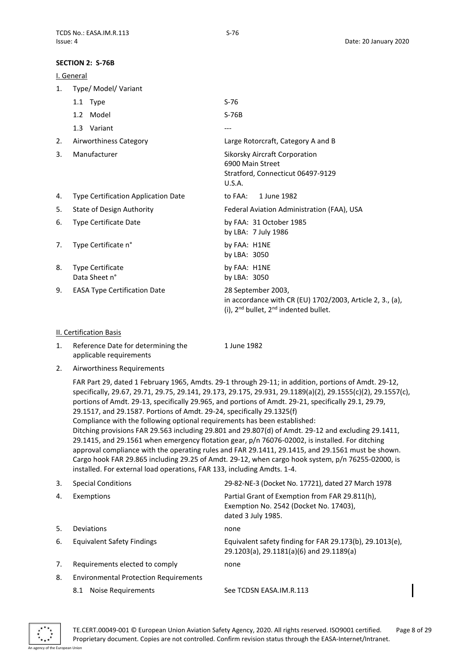#### <span id="page-7-0"></span>**SECTION 2: S-76B**

<span id="page-7-1"></span>

|    | I. General                          |                                                                                                                                    |  |  |
|----|-------------------------------------|------------------------------------------------------------------------------------------------------------------------------------|--|--|
| 1. | Type/ Model/ Variant                |                                                                                                                                    |  |  |
|    | 1.1 Type                            | $S-76$                                                                                                                             |  |  |
|    | Model<br>1.2                        | $S-76B$                                                                                                                            |  |  |
|    | 1.3 Variant                         | ---                                                                                                                                |  |  |
| 2. | Airworthiness Category              | Large Rotorcraft, Category A and B                                                                                                 |  |  |
| 3. | Manufacturer                        | Sikorsky Aircraft Corporation<br>6900 Main Street<br>Stratford, Connecticut 06497-9129<br>U.S.A.                                   |  |  |
| 4. | Type Certification Application Date | to FAA:<br>1 June 1982                                                                                                             |  |  |
| 5. | <b>State of Design Authority</b>    | Federal Aviation Administration (FAA), USA                                                                                         |  |  |
| 6. | Type Certificate Date               | by FAA: 31 October 1985<br>by LBA: 7 July 1986                                                                                     |  |  |
| 7. | Type Certificate n°                 | by FAA: H1NE<br>by LBA: 3050                                                                                                       |  |  |
| 8. | Type Certificate<br>Data Sheet n°   | by FAA: H1NE<br>by LBA: 3050                                                                                                       |  |  |
| 9. | <b>EASA Type Certification Date</b> | 28 September 2003,<br>in accordance with CR (EU) 1702/2003, Article 2, 3., (a),<br>(i), $2^{nd}$ bullet, $2^{nd}$ indented bullet. |  |  |

#### <span id="page-7-2"></span>II. Certification Basis

| Reference Date for determining the<br>1 June 1982 |  |  |
|---------------------------------------------------|--|--|
| applicable requirements                           |  |  |
| Airworthiness Requirements                        |  |  |

FAR Part 29, dated 1 February 1965, Amdts. 29-1 through 29-11; in addition, portions of Amdt. 29-12, specifically, 29.67, 29.71, 29.75, 29.141, 29.173, 29.175, 29.931, 29.1189(a)(2), 29.1555(c)(2), 29.1557(c), portions of Amdt. 29-13, specifically 29.965, and portions of Amdt. 29-21, specifically 29.1, 29.79, 29.1517, and 29.1587. Portions of Amdt. 29-24, specifically 29.1325(f) Compliance with the following optional requirements has been established: Ditching provisions FAR 29.563 including 29.801 and 29.807(d) of Amdt. 29-12 and excluding 29.1411, 29.1415, and 29.1561 when emergency flotation gear, p/n 76076-02002, is installed. For ditching approval compliance with the operating rules and FAR 29.1411, 29.1415, and 29.1561 must be shown. Cargo hook FAR 29.865 including 29.25 of Amdt. 29-12, when cargo hook system, p/n 76255-02000, is installed. For external load operations, FAR 133, including Amdts. 1-4.

| 3.  | <b>Special Conditions</b>                    | 29-82-NE-3 (Docket No. 17721), dated 27 March 1978                                                             |
|-----|----------------------------------------------|----------------------------------------------------------------------------------------------------------------|
| 4.  | Exemptions                                   | Partial Grant of Exemption from FAR 29.811(h),<br>Exemption No. 2542 (Docket No. 17403),<br>dated 3 July 1985. |
| .5. | Deviations                                   | none                                                                                                           |
| 6.  | <b>Equivalent Safety Findings</b>            | Equivalent safety finding for FAR 29.173(b), 29.1013(e).<br>29.1203(a), 29.1181(a)(6) and 29.1189(a)           |
| 7.  | Requirements elected to comply<br>none       |                                                                                                                |
| 8.  | <b>Environmental Protection Requirements</b> |                                                                                                                |
|     | Noise Requirements<br>8.1                    | See TCDSN EASA.IM.R.113                                                                                        |

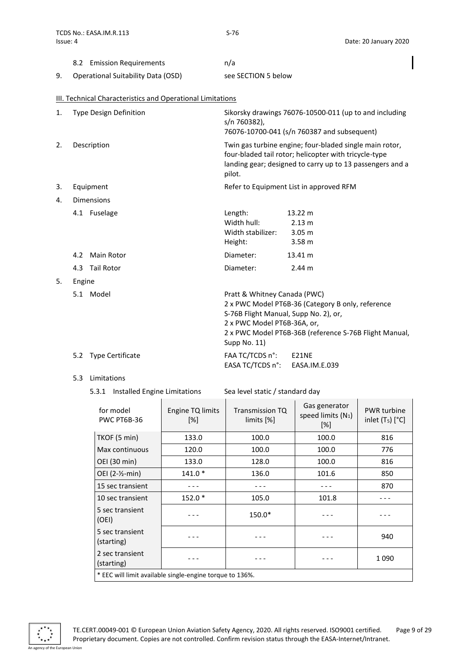|    | 8.2 Emission Requirements          | n/a                 |
|----|------------------------------------|---------------------|
| 9. | Operational Suitability Data (OSD) | see SECTION 5 below |

# <span id="page-8-0"></span>III. Technical Characteristics and Operational Limitations

| 1.                      | <b>Type Design Definition</b> | Sikorsky drawings 76076-10500-011 (up to and including<br>s/n 760382),<br>76076-10700-041 (s/n 760387 and subsequent) |                                                                                                                                                                               |
|-------------------------|-------------------------------|-----------------------------------------------------------------------------------------------------------------------|-------------------------------------------------------------------------------------------------------------------------------------------------------------------------------|
| 2.                      | Description                   | pilot.                                                                                                                | Twin gas turbine engine; four-bladed single main rotor,<br>four-bladed tail rotor; helicopter with tricycle-type<br>landing gear; designed to carry up to 13 passengers and a |
| 3.                      | Equipment                     |                                                                                                                       | Refer to Equipment List in approved RFM                                                                                                                                       |
| <b>Dimensions</b><br>4. |                               |                                                                                                                       |                                                                                                                                                                               |
|                         | 4.1 Fuselage                  | Length:<br>Width hull:<br>Width stabilizer:<br>Height:                                                                | 13.22 m<br>2.13 m<br>3.05 <sub>m</sub><br>3.58 <sub>m</sub>                                                                                                                   |
|                         | Main Rotor<br>4.2             | Diameter:                                                                                                             | 13.41 m                                                                                                                                                                       |
|                         | 4.3 Tail Rotor                | Diameter:                                                                                                             | 2.44 m                                                                                                                                                                        |
| 5.                      | Engine                        |                                                                                                                       |                                                                                                                                                                               |
|                         | 5.1 Model                     | Pratt & Whitney Canada (PWC)<br>S-76B Flight Manual, Supp No. 2), or,<br>2 x PWC Model PT6B-36A, or,<br>Supp No. 11)  | 2 x PWC Model PT6B-36 (Category B only, reference<br>2 x PWC Model PT6B-36B (reference S-76B Flight Manual,                                                                   |
|                         | 5.2 Type Certificate          | FAA TC/TCDS n°:<br>EASA TC/TCDS n°:                                                                                   | E21NE<br>EASA.IM.E.039                                                                                                                                                        |

# 5.3 Limitations

5.3.1 Installed Engine Limitations Sea level static / standard day

| for model<br><b>PWC PT6B-36</b>                          | Engine TQ limits<br>$\lceil \% \rceil$ | <b>Transmission TQ</b><br>limits [%] | Gas generator<br>speed limits (N <sub>1</sub> )<br>[%] | <b>PWR</b> turbine<br>inlet $(T_5)$ $[°C]$ |
|----------------------------------------------------------|----------------------------------------|--------------------------------------|--------------------------------------------------------|--------------------------------------------|
| TKOF (5 min)                                             | 133.0                                  | 100.0                                | 100.0                                                  | 816                                        |
| Max continuous                                           | 120.0                                  | 100.0                                | 100.0                                                  | 776                                        |
| OEI (30 min)                                             | 133.0                                  | 128.0                                | 100.0                                                  | 816                                        |
| OEI (2-1/ <sub>2</sub> -min)                             | 141.0 *                                | 136.0                                | 101.6                                                  | 850                                        |
| 15 sec transient                                         |                                        |                                      |                                                        | 870                                        |
| 10 sec transient                                         | $152.0*$                               | 105.0                                | 101.8                                                  |                                            |
| 5 sec transient<br>(OEI)                                 |                                        | 150.0*                               |                                                        |                                            |
| 5 sec transient<br>(starting)                            |                                        |                                      |                                                        | 940                                        |
| 2 sec transient<br>(starting)                            |                                        |                                      |                                                        | 1090                                       |
| * EEC will limit available single-engine torque to 136%. |                                        |                                      |                                                        |                                            |

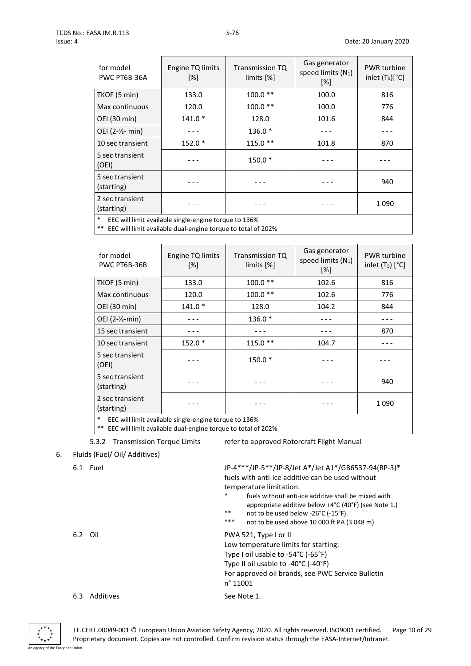| for model<br>PWC PT6B-36A                                       | Engine TQ limits<br>[%] | <b>Transmission TQ</b><br>limits [%] | Gas generator<br>speed limits $(N_1)$<br>$[\%]$ | <b>PWR</b> turbine<br>inlet $(T_5)[^{\circ}C]$ |
|-----------------------------------------------------------------|-------------------------|--------------------------------------|-------------------------------------------------|------------------------------------------------|
| TKOF (5 min)                                                    | 133.0                   | $100.0**$                            | 100.0                                           | 816                                            |
| Max continuous                                                  | 120.0                   | $100.0**$                            | 100.0                                           | 776                                            |
| OEI (30 min)                                                    | $141.0*$                | 128.0                                | 101.6                                           | 844                                            |
| OEI (2-1/2- min)                                                |                         | 136.0 *                              |                                                 |                                                |
| 10 sec transient                                                | $152.0*$                | $115.0**$                            | 101.8                                           | 870                                            |
| 5 sec transient<br>(OEI)                                        |                         | $150.0*$                             |                                                 |                                                |
| 5 sec transient<br>(starting)                                   |                         |                                      |                                                 | 940                                            |
| 2 sec transient<br>(starting)                                   |                         |                                      |                                                 | 1090                                           |
| $\ast$<br>EEC will limit available single-engine torque to 136% |                         |                                      |                                                 |                                                |

 $*$  EEC will limit available dual-engine torque to total of 202%

| for model<br>PWC PT6B-36B                                       | Engine TQ limits<br>[%] | Transmission TQ<br>limits [%] | Gas generator<br>speed limits $(N_1)$<br>$[\%]$ | <b>PWR</b> turbine<br>inlet $(T_5)$ $[°C]$ |
|-----------------------------------------------------------------|-------------------------|-------------------------------|-------------------------------------------------|--------------------------------------------|
| TKOF (5 min)                                                    | 133.0                   | $100.0**$                     | 102.6                                           | 816                                        |
| Max continuous                                                  | 120.0                   | $100.0**$                     | 102.6                                           | 776                                        |
| OEI (30 min)                                                    | $141.0*$                | 128.0                         | 104.2                                           | 844                                        |
| OEI $(2-\frac{1}{2}-min)$                                       |                         | $136.0*$                      |                                                 |                                            |
| 15 sec transient                                                |                         |                               |                                                 | 870                                        |
| 10 sec transient                                                | $152.0*$                | $115.0**$                     | 104.7                                           |                                            |
| 5 sec transient<br>(OEI)                                        |                         | $150.0*$                      |                                                 |                                            |
| 5 sec transient<br>(starting)                                   |                         |                               |                                                 | 940                                        |
| 2 sec transient<br>(starting)                                   |                         |                               |                                                 | 1090                                       |
| $\ast$<br>EEC will limit available single-engine torque to 136% |                         |                               |                                                 |                                            |

EEC will limit available dual-engine torque to total of 202%

5.3.2 Transmission Torque Limits refer to approved Rotorcraft Flight Manual

# 6. Fluids (Fuel/ Oil/ Additives)

6.1 Fuel JP-4\*\*\*/JP-5\*\*/JP-8/Jet A\*/Jet A1\*/GB6537-94(RP-3)\* fuels with anti-ice additive can be used without temperature limitation.

- fuels without anti-ice additive shall be mixed with appropriate additive below +4°C (40°F) (see Note 1.)
- \*\* not to be used below -26°C (-15°F).
- \*\*\* not to be used above 10 000 ft PA (3 048 m)

| 6.2 Oil | PWA 521, Type I or II |
|---------|-----------------------|
|         |                       |

Low temperature limits for starting: Type I oil usable to -54°C (-65°F) Type II oil usable to -40°C (-40°F) For approved oil brands, see PWC Service Bulletin n° 11001 6.3 Additives See Note 1.

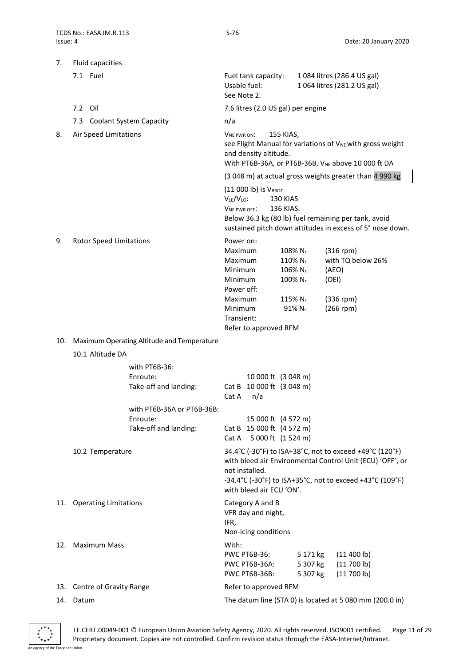| 7.  | Fluid capacities               |                                                                                  |                                                                                                         |                                                                              |                                                                                                   |                                  |                                                                                                                                                                                  |  |
|-----|--------------------------------|----------------------------------------------------------------------------------|---------------------------------------------------------------------------------------------------------|------------------------------------------------------------------------------|---------------------------------------------------------------------------------------------------|----------------------------------|----------------------------------------------------------------------------------------------------------------------------------------------------------------------------------|--|
|     | 7.1 Fuel                       |                                                                                  | Usable fuel:<br>See Note 2.                                                                             | Fuel tank capacity:                                                          |                                                                                                   |                                  | 1084 litres (286.4 US gal)<br>1 064 litres (281.2 US gal)                                                                                                                        |  |
|     | 7.2 Oil                        |                                                                                  |                                                                                                         | 7.6 litres (2.0 US gal) per engine                                           |                                                                                                   |                                  |                                                                                                                                                                                  |  |
|     | 7.3 Coolant System Capacity    |                                                                                  | n/a                                                                                                     |                                                                              |                                                                                                   |                                  |                                                                                                                                                                                  |  |
| 8.  | Air Speed Limitations          |                                                                                  | VNE PWR ON:                                                                                             | and density altitude.                                                        | 155 KIAS,                                                                                         |                                  | see Flight Manual for variations of V <sub>NE</sub> with gross weight<br>With PT6B-36A, or PT6B-36B, V <sub>NE</sub> above 10 000 ft DA                                          |  |
|     |                                |                                                                                  |                                                                                                         |                                                                              |                                                                                                   |                                  | (3 048 m) at actual gross weights greater than 4 990 kg                                                                                                                          |  |
|     |                                |                                                                                  | VLE/VLO:<br>VNE PWR OFF:                                                                                | $(11 000 lb)$ is $V_{\text{BROC}}$                                           | 130 KIAS<br>136 KIAS.                                                                             |                                  | Below 36.3 kg (80 lb) fuel remaining per tank, avoid<br>sustained pitch down attitudes in excess of 5° nose down.                                                                |  |
| 9.  | <b>Rotor Speed Limitations</b> |                                                                                  | Power on:<br>Maximum<br>Maximum<br>Minimum<br>Minimum<br>Power off:<br>Maximum<br>Minimum<br>Transient: | Refer to approved RFM                                                        | 108% N <sub>r</sub><br>110% Nr<br>106% Nr<br>100% N <sub>r</sub><br>115% N <sub>r</sub><br>91% Nr |                                  | $(316$ rpm)<br>with TQ below 26%<br>(AEO)<br>(OEI)<br>$(336$ rpm)<br>$(266$ rpm)                                                                                                 |  |
| 10. |                                | Maximum Operating Altitude and Temperature                                       |                                                                                                         |                                                                              |                                                                                                   |                                  |                                                                                                                                                                                  |  |
|     | 10.1 Altitude DA               |                                                                                  |                                                                                                         |                                                                              |                                                                                                   |                                  |                                                                                                                                                                                  |  |
|     |                                | with PT6B-36:<br>Enroute:<br>Take-off and landing:<br>with PT6B-36A or PT6B-36B: | Cat B<br>Cat A                                                                                          | 10 000 ft (3 048 m)<br>10 000 ft (3 048 m)<br>n/a                            |                                                                                                   |                                  |                                                                                                                                                                                  |  |
|     |                                | Enroute:<br>Take-off and landing:                                                |                                                                                                         | 15 000 ft (4 572 m)<br>Cat B 15 000 ft (4 572 m)<br>Cat A 5 000 ft (1 524 m) |                                                                                                   |                                  |                                                                                                                                                                                  |  |
|     | 10.2 Temperature               |                                                                                  |                                                                                                         | not installed.<br>with bleed air ECU 'ON'.                                   |                                                                                                   |                                  | 34.4°C (-30°F) to ISA+38°C, not to exceed +49°C (120°F)<br>with bleed air Environmental Control Unit (ECU) 'OFF', or<br>-34.4°C (-30°F) to ISA+35°C, not to exceed +43°C (109°F) |  |
| 11. | <b>Operating Limitations</b>   |                                                                                  | IFR,                                                                                                    | Category A and B<br>VFR day and night,<br>Non-icing conditions               |                                                                                                   |                                  |                                                                                                                                                                                  |  |
| 12. | <b>Maximum Mass</b>            |                                                                                  | With:                                                                                                   | <b>PWC PT6B-36:</b><br>PWC PT6B-36A:<br><b>PWC PT6B-36B:</b>                 |                                                                                                   | 5 171 kg<br>5 307 kg<br>5 307 kg | (11 400 lb)<br>(11700 lb)<br>(11700 lb)                                                                                                                                          |  |
|     | 13. Centre of Gravity Range    |                                                                                  |                                                                                                         | Refer to approved RFM                                                        |                                                                                                   |                                  |                                                                                                                                                                                  |  |
| 14. | Datum                          |                                                                                  | The datum line (STA 0) is located at 5 080 mm (200.0 in)                                                |                                                                              |                                                                                                   |                                  |                                                                                                                                                                                  |  |

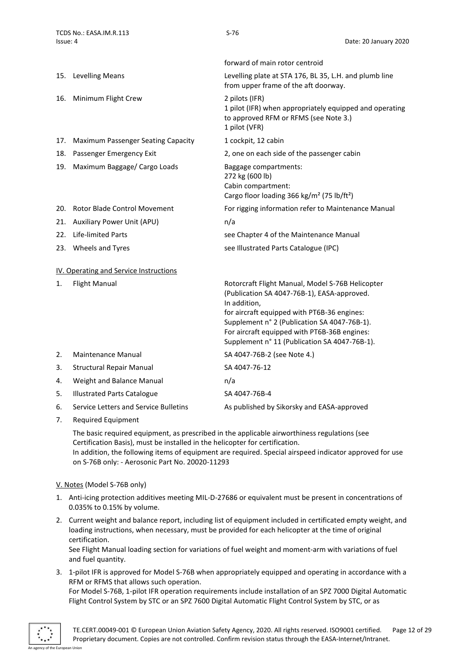|     |                                           | forward of main rotor centroid                                                                                                                                                                                                                                 |
|-----|-------------------------------------------|----------------------------------------------------------------------------------------------------------------------------------------------------------------------------------------------------------------------------------------------------------------|
| 15. | Levelling Means                           | Levelling plate at STA 176, BL 35, L.H. and plumb line<br>from upper frame of the aft doorway.                                                                                                                                                                 |
| 16. | Minimum Flight Crew                       | 2 pilots (IFR)<br>1 pilot (IFR) when appropriately equipped and operating<br>to approved RFM or RFMS (see Note 3.)<br>1 pilot (VFR)                                                                                                                            |
| 17. | <b>Maximum Passenger Seating Capacity</b> | 1 cockpit, 12 cabin                                                                                                                                                                                                                                            |
| 18. | Passenger Emergency Exit                  | 2, one on each side of the passenger cabin                                                                                                                                                                                                                     |
| 19. | Maximum Baggage/ Cargo Loads              | Baggage compartments:<br>272 kg (600 lb)<br>Cabin compartment:<br>Cargo floor loading 366 kg/m <sup>2</sup> (75 lb/ft <sup>2</sup> )                                                                                                                           |
| 20. | <b>Rotor Blade Control Movement</b>       | For rigging information refer to Maintenance Manual                                                                                                                                                                                                            |
| 21. | Auxiliary Power Unit (APU)                | n/a                                                                                                                                                                                                                                                            |
| 22. | <b>Life-limited Parts</b>                 | see Chapter 4 of the Maintenance Manual                                                                                                                                                                                                                        |
| 23. | Wheels and Tyres                          | see Illustrated Parts Catalogue (IPC)                                                                                                                                                                                                                          |
|     | IV. Operating and Service Instructions    |                                                                                                                                                                                                                                                                |
| 1.  | <b>Flight Manual</b>                      | Rotorcraft Flight Manual, Model S-76B Helicopter<br>(Publication SA 4047-76B-1), EASA-approved.<br>In addition,<br>for aircraft equipped with PT6B-36 engines:<br>Supplement n° 2 (Publication SA 4047-76B-1).<br>For aircraft equipped with PT6B-36B engines: |

<span id="page-11-0"></span>

|    |                                       | Supplement n° 11 (Publication SA 4047-76B-1). |
|----|---------------------------------------|-----------------------------------------------|
| 2. | <b>Maintenance Manual</b>             | SA 4047-76B-2 (see Note 4.)                   |
| 3. | <b>Structural Repair Manual</b>       | SA 4047-76-12                                 |
| 4. | Weight and Balance Manual             | n/a                                           |
| 5. | <b>Illustrated Parts Catalogue</b>    | SA 4047-76B-4                                 |
| 6. | Service Letters and Service Bulletins | As published by Sikorsky and EASA-approved    |
|    |                                       |                                               |

7. Required Equipment

The basic required equipment, as prescribed in the applicable airworthiness regulations (see Certification Basis), must be installed in the helicopter for certification. In addition, the following items of equipment are required. Special airspeed indicator approved for use on S-76B only: - Aerosonic Part No. 20020-11293

### <span id="page-11-1"></span>V. Notes (Model S-76B only)

- 1. Anti-icing protection additives meeting MIL-D-27686 or equivalent must be present in concentrations of 0.035% to 0.15% by volume.
- 2. Current weight and balance report, including list of equipment included in certificated empty weight, and loading instructions, when necessary, must be provided for each helicopter at the time of original certification.

See Flight Manual loading section for variations of fuel weight and moment-arm with variations of fuel and fuel quantity.

3. 1-pilot IFR is approved for Model S-76B when appropriately equipped and operating in accordance with a RFM or RFMS that allows such operation.

For Model S-76B, 1-pilot IFR operation requirements include installation of an SPZ 7000 Digital Automatic Flight Control System by STC or an SPZ 7600 Digital Automatic Flight Control System by STC, or as

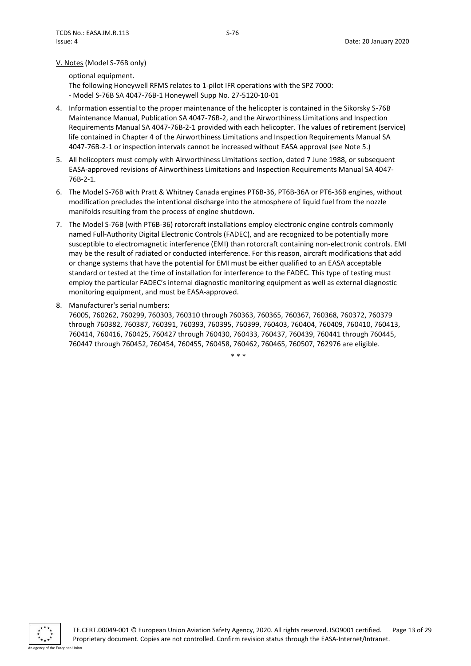#### V. Notes (Model S-76B only)

optional equipment. The following Honeywell RFMS relates to 1-pilot IFR operations with the SPZ 7000: - Model S-76B SA 4047-76B-1 Honeywell Supp No. 27-5120-10-01

- 4. Information essential to the proper maintenance of the helicopter is contained in the Sikorsky S-76B Maintenance Manual, Publication SA 4047-76B-2, and the Airworthiness Limitations and Inspection Requirements Manual SA 4047-76B-2-1 provided with each helicopter. The values of retirement (service) life contained in Chapter 4 of the Airworthiness Limitations and Inspection Requirements Manual SA 4047-76B-2-1 or inspection intervals cannot be increased without EASA approval (see Note 5.)
- 5. All helicopters must comply with Airworthiness Limitations section, dated 7 June 1988, or subsequent EASA-approved revisions of Airworthiness Limitations and Inspection Requirements Manual SA 4047- 76B-2-1.
- 6. The Model S-76B with Pratt & Whitney Canada engines PT6B-36, PT6B-36A or PT6-36B engines, without modification precludes the intentional discharge into the atmosphere of liquid fuel from the nozzle manifolds resulting from the process of engine shutdown.
- 7. The Model S-76B (with PT6B-36) rotorcraft installations employ electronic engine controls commonly named Full-Authority Digital Electronic Controls (FADEC), and are recognized to be potentially more susceptible to electromagnetic interference (EMI) than rotorcraft containing non-electronic controls. EMI may be the result of radiated or conducted interference. For this reason, aircraft modifications that add or change systems that have the potential for EMI must be either qualified to an EASA acceptable standard or tested at the time of installation for interference to the FADEC. This type of testing must employ the particular FADEC's internal diagnostic monitoring equipment as well as external diagnostic monitoring equipment, and must be EASA-approved.
- 8. Manufacturer's serial numbers:

76005, 760262, 760299, 760303, 760310 through 760363, 760365, 760367, 760368, 760372, 760379 through 760382, 760387, 760391, 760393, 760395, 760399, 760403, 760404, 760409, 760410, 760413, 760414, 760416, 760425, 760427 through 760430, 760433, 760437, 760439, 760441 through 760445, 760447 through 760452, 760454, 760455, 760458, 760462, 760465, 760507, 762976 are eligible.

\* \* \*

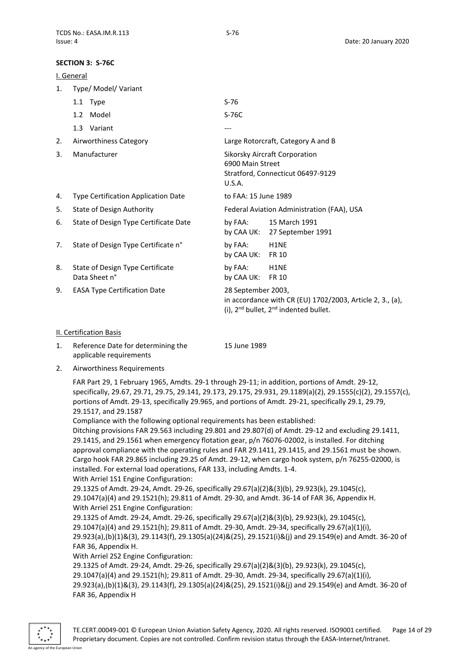#### <span id="page-13-0"></span>**SECTION 3: S-76C**

<span id="page-13-1"></span>

| I. General |                                                   |                                                                                                                                    |  |  |  |
|------------|---------------------------------------------------|------------------------------------------------------------------------------------------------------------------------------------|--|--|--|
| 1.         | Type/ Model/ Variant                              |                                                                                                                                    |  |  |  |
|            | 1.1 Type                                          | $S-76$                                                                                                                             |  |  |  |
|            | 1.2 Model                                         | S-76C                                                                                                                              |  |  |  |
|            | 1.3 Variant                                       | ---                                                                                                                                |  |  |  |
| 2.         | Airworthiness Category                            | Large Rotorcraft, Category A and B                                                                                                 |  |  |  |
| 3.         | Manufacturer                                      | Sikorsky Aircraft Corporation<br>6900 Main Street<br>Stratford, Connecticut 06497-9129<br>U.S.A.                                   |  |  |  |
| 4.         | Type Certification Application Date               | to FAA: 15 June 1989                                                                                                               |  |  |  |
| 5.         | <b>State of Design Authority</b>                  | Federal Aviation Administration (FAA), USA                                                                                         |  |  |  |
| 6.         | State of Design Type Certificate Date             | by FAA: 15 March 1991<br>by CAA UK: 27 September 1991                                                                              |  |  |  |
| 7.         | State of Design Type Certificate n°               | by FAA:<br>H <sub>1</sub> NE<br>by CAA UK:<br><b>FR 10</b>                                                                         |  |  |  |
| 8.         | State of Design Type Certificate<br>Data Sheet n° | by FAA:<br>H <sub>1</sub> NE<br>by CAA UK:<br><b>FR 10</b>                                                                         |  |  |  |
| 9.         | <b>EASA Type Certification Date</b>               | 28 September 2003,<br>in accordance with CR (EU) 1702/2003, Article 2, 3., (a),<br>(i), $2^{nd}$ bullet, $2^{nd}$ indented bullet. |  |  |  |

#### <span id="page-13-2"></span>II. Certification Basis

- 1. Reference Date for determining the applicable requirements 15 June 1989
- 2. Airworthiness Requirements

FAR Part 29, 1 February 1965, Amdts. 29-1 through 29-11; in addition, portions of Amdt. 29-12, specifically, 29.67, 29.71, 29.75, 29.141, 29.173, 29.175, 29.931, 29.1189(a)(2), 29.1555(c)(2), 29.1557(c), portions of Amdt. 29-13, specifically 29.965, and portions of Amdt. 29-21, specifically 29.1, 29.79, 29.1517, and 29.1587

Compliance with the following optional requirements has been established:

Ditching provisions FAR 29.563 including 29.801 and 29.807(d) of Amdt. 29-12 and excluding 29.1411, 29.1415, and 29.1561 when emergency flotation gear, p/n 76076-02002, is installed. For ditching approval compliance with the operating rules and FAR 29.1411, 29.1415, and 29.1561 must be shown. Cargo hook FAR 29.865 including 29.25 of Amdt. 29-12, when cargo hook system, p/n 76255-02000, is installed. For external load operations, FAR 133, including Amdts. 1-4. With Arriel 1S1 Engine Configuration:

29.1325 of Amdt. 29-24, Amdt. 29-26, specifically 29.67(a)(2)&(3)(b), 29.923(k), 29.1045(c), 29.1047(a)(4) and 29.1521(h); 29.811 of Amdt. 29-30, and Amdt. 36-14 of FAR 36, Appendix H. With Arriel 2S1 Engine Configuration:

29.1325 of Amdt. 29-24, Amdt. 29-26, specifically 29.67(a)(2)&(3)(b), 29.923(k), 29.1045(c), 29.1047(a)(4) and 29.1521(h); 29.811 of Amdt. 29-30, Amdt. 29-34, specifically 29.67(a)(1)(i), 29.923(a),(b)(1)&(3), 29.1143(f), 29.1305(a)(24)&(25), 29.1521(i)&(j) and 29.1549(e) and Amdt. 36-20 of FAR 36, Appendix H.

With Arriel 2S2 Engine Configuration:

29.1325 of Amdt. 29-24, Amdt. 29-26, specifically 29.67(a)(2)&(3)(b), 29.923(k), 29.1045(c), 29.1047(a)(4) and 29.1521(h); 29.811 of Amdt. 29-30, Amdt. 29-34, specifically 29.67(a)(1)(i), 29.923(a),(b)(1)&(3), 29.1143(f), 29.1305(a)(24)&(25), 29.1521(i)&(j) and 29.1549(e) and Amdt. 36-20 of FAR 36, Appendix H

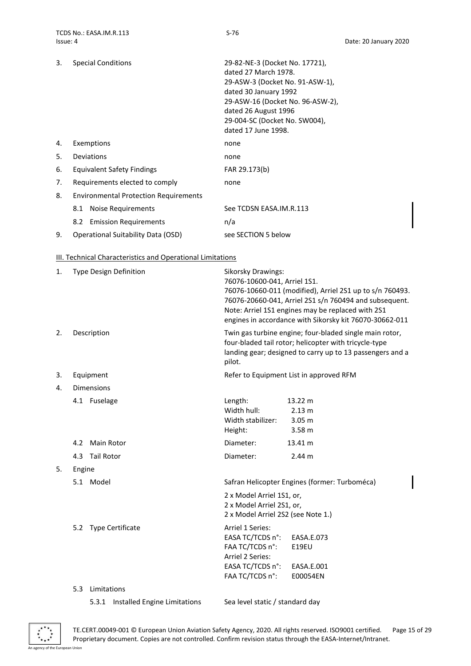| 3. | <b>Special Conditions</b>                    | 29-82-NE-3 (Docket No. 17721),   |  |  |
|----|----------------------------------------------|----------------------------------|--|--|
|    |                                              | dated 27 March 1978.             |  |  |
|    |                                              | 29-ASW-3 (Docket No. 91-ASW-1),  |  |  |
|    |                                              | dated 30 January 1992            |  |  |
|    |                                              | 29-ASW-16 (Docket No. 96-ASW-2), |  |  |
|    |                                              | dated 26 August 1996             |  |  |
|    |                                              | 29-004-SC (Docket No. SW004),    |  |  |
|    |                                              | dated 17 June 1998.              |  |  |
| 4. | Exemptions                                   | none                             |  |  |
| 5. | Deviations                                   | none                             |  |  |
| 6. | Equivalent Safety Findings                   | FAR 29.173(b)                    |  |  |
| 7. | Requirements elected to comply               | none                             |  |  |
| 8. | <b>Environmental Protection Requirements</b> |                                  |  |  |
|    | 8.1 Noise Requirements                       | See TCDSN EASA.IM.R.113          |  |  |
|    | 8.2 Emission Requirements                    | n/a                              |  |  |
| 9. | Operational Suitability Data (OSD)           | see SECTION 5 below              |  |  |

# <span id="page-14-0"></span>III. Technical Characteristics and Operational Limitations

| 1. | <b>Type Design Definition</b>      | <b>Sikorsky Drawings:</b><br>76076-10600-041, Arriel 1S1.<br>76076-10660-011 (modified), Arriel 2S1 up to s/n 760493.<br>76076-20660-041, Arriel 2S1 s/n 760494 and subsequent.<br>Note: Arriel 1S1 engines may be replaced with 2S1<br>engines in accordance with Sikorsky kit 76070-30662-011 |
|----|------------------------------------|-------------------------------------------------------------------------------------------------------------------------------------------------------------------------------------------------------------------------------------------------------------------------------------------------|
| 2. | Description                        | Twin gas turbine engine; four-bladed single main rotor,<br>four-bladed tail rotor; helicopter with tricycle-type<br>landing gear; designed to carry up to 13 passengers and a<br>pilot.                                                                                                         |
| 3. | Equipment                          | Refer to Equipment List in approved RFM                                                                                                                                                                                                                                                         |
| 4. | <b>Dimensions</b>                  |                                                                                                                                                                                                                                                                                                 |
|    | 4.1 Fuselage                       | Length:<br>13.22 m<br>Width hull:<br>2.13 m<br>Width stabilizer:<br>3.05 <sub>m</sub><br>3.58 <sub>m</sub><br>Height:                                                                                                                                                                           |
|    | 4.2<br>Main Rotor                  | Diameter:<br>$13.41 \text{ m}$                                                                                                                                                                                                                                                                  |
|    | <b>Tail Rotor</b><br>4.3           | Diameter:<br>2.44 m                                                                                                                                                                                                                                                                             |
| 5. | Engine                             |                                                                                                                                                                                                                                                                                                 |
|    | 5.1 Model                          | Safran Helicopter Engines (former: Turboméca)                                                                                                                                                                                                                                                   |
|    |                                    | 2 x Model Arriel 1S1, or,<br>2 x Model Arriel 2S1, or,<br>2 x Model Arriel 2S2 (see Note 1.)                                                                                                                                                                                                    |
|    | 5.2 Type Certificate               | Arriel 1 Series:<br>EASA TC/TCDS n°:<br>EASA.E.073<br>FAA TC/TCDS n°:<br><b>E19EU</b><br>Arriel 2 Series:<br>EASA TC/TCDS n°:<br>EASA.E.001<br>FAA TC/TCDS n°:<br>E00054EN                                                                                                                      |
|    | Limitations<br>5.3                 |                                                                                                                                                                                                                                                                                                 |
|    | 5.3.1 Installed Engine Limitations | Sea level static / standard day                                                                                                                                                                                                                                                                 |

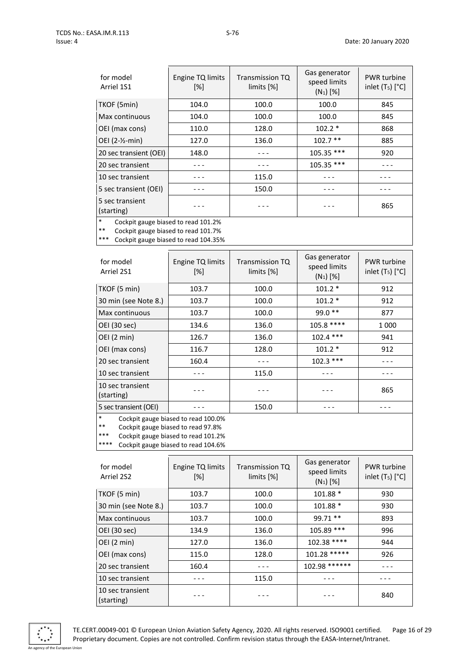| for model<br>Arriel 1S1       | Engine TQ limits<br>[%] | <b>Transmission TQ</b><br>limits [%] | Gas generator<br>speed limits<br>$(N_1)$ [%] | <b>PWR</b> turbine<br>inlet $(T_5)$ $[°C]$ |
|-------------------------------|-------------------------|--------------------------------------|----------------------------------------------|--------------------------------------------|
| TKOF (5min)                   | 104.0                   | 100.0                                | 100.0                                        | 845                                        |
| Max continuous                | 104.0                   | 100.0                                | 100.0                                        | 845                                        |
| OEI (max cons)                | 110.0                   | 128.0                                | $102.2*$                                     | 868                                        |
| OEI (2-1/2-min)               | 127.0                   | 136.0                                | $102.7$ **                                   | 885                                        |
| 20 sec transient (OEI)        | 148.0                   |                                      | 105.35 ***                                   | 920                                        |
| 20 sec transient              |                         |                                      | 105.35 ***                                   |                                            |
| 10 sec transient              |                         | 115.0                                |                                              |                                            |
| 5 sec transient (OEI)         |                         | 150.0                                |                                              |                                            |
| 5 sec transient<br>(starting) |                         |                                      |                                              | 865                                        |
|                               |                         |                                      |                                              |                                            |

\* Cockpit gauge biased to read 101.2%

\*\* Cockpit gauge biased to read 101.7%<br>\*\*\* Cockpit gauge biased to read 104.25%

Cockpit gauge biased to read 104.35%

| for model<br>Arriel 2S1        | Engine TQ limits<br>$\lceil \% \rceil$ | Transmission TQ<br>$\lim$ its $\lceil\% \rceil$ | Gas generator<br>speed limits<br>$(N_1)$ [%] | <b>PWR</b> turbine<br>inlet $(T_5)$ $[°C]$ |
|--------------------------------|----------------------------------------|-------------------------------------------------|----------------------------------------------|--------------------------------------------|
| TKOF (5 min)                   | 103.7                                  | 100.0                                           | $101.2*$                                     | 912                                        |
| 30 min (see Note 8.)           | 103.7                                  | 100.0                                           | $101.2*$                                     | 912                                        |
| Max continuous                 | 103.7                                  | 100.0                                           | 99.0 **                                      | 877                                        |
| OEI (30 sec)                   | 134.6                                  | 136.0                                           | 105.8 ****                                   | 1 000                                      |
| OEI (2 min)                    | 126.7                                  | 136.0                                           | $102.4$ ***                                  | 941                                        |
| OEI (max cons)                 | 116.7                                  | 128.0                                           | $101.2*$                                     | 912                                        |
| 20 sec transient               | 160.4                                  |                                                 | $102.3$ ***                                  |                                            |
| 10 sec transient               |                                        | 115.0                                           |                                              |                                            |
| 10 sec transient<br>(starting) |                                        |                                                 |                                              | 865                                        |
| 5 sec transient (OEI)          |                                        | 150.0                                           |                                              |                                            |
|                                |                                        |                                                 |                                              |                                            |

Cockpit gauge biased to read 100.0%

\*\* Cockpit gauge biased to read 97.8%

\*\*\* Cockpit gauge biased to read 101.2%<br>\*\*\*\* Cockpit gauge biased to read 104.6%

Cockpit gauge biased to read 104.6%

| for model<br>Arriel 2S2        | Engine TQ limits<br>[%] | <b>Transmission TQ</b><br>limits [%] | Gas generator<br>speed limits<br>$(N_1)$ [%] | <b>PWR</b> turbine<br>inlet $(T_5)$ $[°C]$ |
|--------------------------------|-------------------------|--------------------------------------|----------------------------------------------|--------------------------------------------|
| TKOF (5 min)                   | 103.7                   | 100.0                                | 101.88 *                                     | 930                                        |
| 30 min (see Note 8.)           | 103.7                   | 100.0                                | 101.88 *                                     | 930                                        |
| Max continuous                 | 103.7                   | 100.0                                | 99.71 **                                     | 893                                        |
| OEI (30 sec)                   | 134.9                   | 136.0                                | 105.89 ***                                   | 996                                        |
| OEI (2 min)                    | 127.0                   | 136.0                                | 102.38 ****                                  | 944                                        |
| OEI (max cons)                 | 115.0                   | 128.0                                | 101.28 *****                                 | 926                                        |
| 20 sec transient               | 160.4                   |                                      | 102.98 ******                                |                                            |
| 10 sec transient               |                         | 115.0                                |                                              |                                            |
| 10 sec transient<br>(starting) |                         |                                      |                                              | 840                                        |



TE.CERT.00049-001 © European Union Aviation Safety Agency, 2020. All rights reserved. ISO9001 certified. Page 16 of 29 Proprietary document. Copies are not controlled. Confirm revision status through the EASA-Internet/Intranet.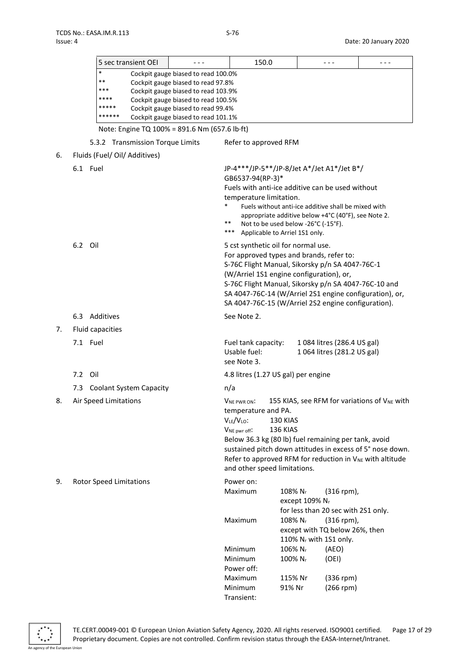|    |               |                                | 5 sec transient OEI              |                                                                            | 150.0                                                                            |                                     |                | $- - -$                                                                                                    | - - -                                                                |
|----|---------------|--------------------------------|----------------------------------|----------------------------------------------------------------------------|----------------------------------------------------------------------------------|-------------------------------------|----------------|------------------------------------------------------------------------------------------------------------|----------------------------------------------------------------------|
|    |               | *                              |                                  | Cockpit gauge biased to read 100.0%                                        |                                                                                  |                                     |                |                                                                                                            |                                                                      |
|    |               | **<br>***                      |                                  | Cockpit gauge biased to read 97.8%                                         |                                                                                  |                                     |                |                                                                                                            |                                                                      |
|    |               | ****                           |                                  | Cockpit gauge biased to read 103.9%<br>Cockpit gauge biased to read 100.5% |                                                                                  |                                     |                |                                                                                                            |                                                                      |
|    |               |                                |                                  | Cockpit gauge biased to read 99.4%                                         |                                                                                  |                                     |                |                                                                                                            |                                                                      |
|    |               | ******                         |                                  | Cockpit gauge biased to read 101.1%                                        |                                                                                  |                                     |                |                                                                                                            |                                                                      |
|    |               |                                |                                  | Note: Engine TQ 100% = 891.6 Nm (657.6 lb·ft)                              |                                                                                  |                                     |                |                                                                                                            |                                                                      |
|    |               |                                | 5.3.2 Transmission Torque Limits |                                                                            | Refer to approved RFM                                                            |                                     |                |                                                                                                            |                                                                      |
| 6. |               |                                | Fluids (Fuel/ Oil/ Additives)    |                                                                            |                                                                                  |                                     |                |                                                                                                            |                                                                      |
|    | 6.1 Fuel      |                                |                                  |                                                                            | JP-4***/JP-5**/JP-8/Jet A*/Jet A1*/Jet B*/                                       |                                     |                |                                                                                                            |                                                                      |
|    |               |                                |                                  |                                                                            | GB6537-94(RP-3)*                                                                 |                                     |                |                                                                                                            |                                                                      |
|    |               |                                |                                  |                                                                            | Fuels with anti-ice additive can be used without                                 |                                     |                |                                                                                                            |                                                                      |
|    |               |                                |                                  | $\ast$                                                                     | temperature limitation.                                                          |                                     |                |                                                                                                            |                                                                      |
|    |               |                                |                                  |                                                                            |                                                                                  |                                     |                | Fuels without anti-ice additive shall be mixed with<br>appropriate additive below +4°C (40°F), see Note 2. |                                                                      |
|    |               |                                |                                  |                                                                            | **                                                                               | Not to be used below -26°C (-15°F). |                |                                                                                                            |                                                                      |
|    |               |                                |                                  |                                                                            | ***                                                                              | Applicable to Arriel 1S1 only.      |                |                                                                                                            |                                                                      |
|    | 6.2<br>Oil    |                                |                                  |                                                                            | 5 cst synthetic oil for normal use.                                              |                                     |                |                                                                                                            |                                                                      |
|    |               |                                |                                  |                                                                            | For approved types and brands, refer to:                                         |                                     |                |                                                                                                            |                                                                      |
|    |               |                                |                                  |                                                                            | S-76C Flight Manual, Sikorsky p/n SA 4047-76C-1                                  |                                     |                |                                                                                                            |                                                                      |
|    |               |                                |                                  |                                                                            | (W/Arriel 1S1 engine configuration), or,                                         |                                     |                |                                                                                                            | S-76C Flight Manual, Sikorsky p/n SA 4047-76C-10 and                 |
|    |               |                                |                                  |                                                                            |                                                                                  |                                     |                |                                                                                                            | SA 4047-76C-14 (W/Arriel 2S1 engine configuration), or,              |
|    |               |                                |                                  |                                                                            | SA 4047-76C-15 (W/Arriel 2S2 engine configuration).                              |                                     |                |                                                                                                            |                                                                      |
|    | 6.3 Additives |                                |                                  |                                                                            | See Note 2.                                                                      |                                     |                |                                                                                                            |                                                                      |
| 7. |               | Fluid capacities               |                                  |                                                                            |                                                                                  |                                     |                |                                                                                                            |                                                                      |
|    | 7.1 Fuel      |                                |                                  |                                                                            | Fuel tank capacity:                                                              |                                     |                | 1 084 litres (286.4 US gal)                                                                                |                                                                      |
|    |               |                                |                                  |                                                                            | Usable fuel:                                                                     |                                     |                | 1 064 litres (281.2 US gal)                                                                                |                                                                      |
|    |               |                                |                                  |                                                                            | see Note 3.                                                                      |                                     |                |                                                                                                            |                                                                      |
|    | 7.2<br>Oil    |                                |                                  |                                                                            | 4.8 litres (1.27 US gal) per engine                                              |                                     |                |                                                                                                            |                                                                      |
|    | 7.3           |                                | <b>Coolant System Capacity</b>   |                                                                            | n/a                                                                              |                                     |                |                                                                                                            |                                                                      |
| 8. |               | Air Speed Limitations          |                                  |                                                                            | VNE PWR ON:                                                                      |                                     |                |                                                                                                            | 155 KIAS, see RFM for variations of V <sub>NE</sub> with             |
|    |               |                                |                                  |                                                                            | temperature and PA.                                                              |                                     |                |                                                                                                            |                                                                      |
|    |               |                                |                                  |                                                                            | $V_{LE}/V_{LO}$ :                                                                | 130 KIAS                            |                |                                                                                                            |                                                                      |
|    |               |                                |                                  |                                                                            | V <sub>NE</sub> pwr off:<br>Below 36.3 kg (80 lb) fuel remaining per tank, avoid | 136 KIAS                            |                |                                                                                                            |                                                                      |
|    |               |                                |                                  |                                                                            |                                                                                  |                                     |                |                                                                                                            | sustained pitch down attitudes in excess of 5° nose down.            |
|    |               |                                |                                  |                                                                            |                                                                                  |                                     |                |                                                                                                            | Refer to approved RFM for reduction in V <sub>NE</sub> with altitude |
|    |               |                                |                                  |                                                                            | and other speed limitations.                                                     |                                     |                |                                                                                                            |                                                                      |
| 9. |               | <b>Rotor Speed Limitations</b> |                                  |                                                                            | Power on:                                                                        |                                     |                |                                                                                                            |                                                                      |
|    |               |                                |                                  |                                                                            | Maximum                                                                          | 108% N <sub>r</sub>                 |                | $(316$ rpm),                                                                                               |                                                                      |
|    |               |                                |                                  |                                                                            |                                                                                  |                                     | except 109% Nr |                                                                                                            |                                                                      |
|    |               |                                |                                  |                                                                            | Maximum                                                                          | 108% Nr                             |                | for less than 20 sec with 2S1 only.<br>$(316$ rpm),                                                        |                                                                      |
|    |               |                                |                                  |                                                                            |                                                                                  |                                     |                | except with TQ below 26%, then                                                                             |                                                                      |
|    |               |                                |                                  |                                                                            |                                                                                  |                                     |                | 110% N <sub>r</sub> with 1S1 only.                                                                         |                                                                      |
|    |               |                                |                                  |                                                                            | Minimum                                                                          | 106% Nr                             |                | (AEO)                                                                                                      |                                                                      |
|    |               |                                |                                  |                                                                            | Minimum                                                                          | 100% N <sub>r</sub>                 |                | (OEI)                                                                                                      |                                                                      |
|    |               |                                |                                  |                                                                            | Power off:                                                                       |                                     |                |                                                                                                            |                                                                      |
|    |               |                                |                                  |                                                                            | Maximum<br>Minimum                                                               | 115% Nr<br>91% Nr                   |                | $(336$ rpm)<br>$(266$ rpm)                                                                                 |                                                                      |
|    |               |                                |                                  |                                                                            |                                                                                  |                                     |                |                                                                                                            |                                                                      |



Transient: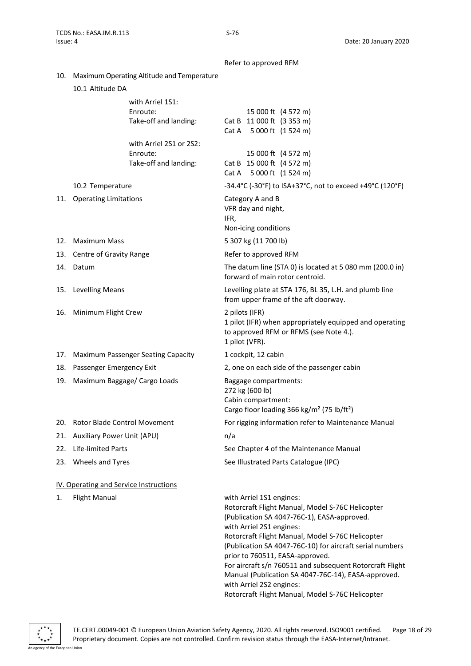Refer to approved RFM

10. Maximum Operating Altitude and Temperature

|  | 10.1 Altitude DA |  |
|--|------------------|--|
|--|------------------|--|

|     |                                        | with Arriel 1S1:<br>Enroute:<br>Take-off and landing:        | 15 000 ft (4 572 m)<br>Cat B 11 000 ft (3 353 m)<br>Cat A 5 000 ft (1 524 m)                                                                                                                                                                                                                                                                                                                                                  |
|-----|----------------------------------------|--------------------------------------------------------------|-------------------------------------------------------------------------------------------------------------------------------------------------------------------------------------------------------------------------------------------------------------------------------------------------------------------------------------------------------------------------------------------------------------------------------|
|     |                                        | with Arriel 2S1 or 2S2:<br>Enroute:<br>Take-off and landing: | 15 000 ft (4 572 m)<br>Cat B 15 000 ft (4 572 m)<br>Cat A 5 000 ft (1 524 m)                                                                                                                                                                                                                                                                                                                                                  |
|     | 10.2 Temperature                       |                                                              | -34.4°C (-30°F) to ISA+37°C, not to exceed +49°C (120°F)                                                                                                                                                                                                                                                                                                                                                                      |
|     | 11. Operating Limitations              |                                                              | Category A and B<br>VFR day and night,<br>IFR,<br>Non-icing conditions                                                                                                                                                                                                                                                                                                                                                        |
|     | 12. Maximum Mass                       |                                                              | 5 307 kg (11 700 lb)                                                                                                                                                                                                                                                                                                                                                                                                          |
|     | 13. Centre of Gravity Range            |                                                              | Refer to approved RFM                                                                                                                                                                                                                                                                                                                                                                                                         |
|     | 14. Datum                              |                                                              | The datum line (STA 0) is located at 5 080 mm (200.0 in)<br>forward of main rotor centroid.                                                                                                                                                                                                                                                                                                                                   |
|     | 15. Levelling Means                    |                                                              | Levelling plate at STA 176, BL 35, L.H. and plumb line<br>from upper frame of the aft doorway.                                                                                                                                                                                                                                                                                                                                |
|     | 16. Minimum Flight Crew                |                                                              | 2 pilots (IFR)<br>1 pilot (IFR) when appropriately equipped and operating<br>to approved RFM or RFMS (see Note 4.).<br>1 pilot (VFR).                                                                                                                                                                                                                                                                                         |
|     | 17. Maximum Passenger Seating Capacity |                                                              | 1 cockpit, 12 cabin                                                                                                                                                                                                                                                                                                                                                                                                           |
| 18. | Passenger Emergency Exit               |                                                              | 2, one on each side of the passenger cabin                                                                                                                                                                                                                                                                                                                                                                                    |
| 19. | Maximum Baggage/ Cargo Loads           |                                                              | Baggage compartments:<br>272 kg (600 lb)<br>Cabin compartment:<br>Cargo floor loading 366 kg/m <sup>2</sup> (75 lb/ft <sup>2</sup> )                                                                                                                                                                                                                                                                                          |
|     | 20. Rotor Blade Control Movement       |                                                              | For rigging information refer to Maintenance Manual                                                                                                                                                                                                                                                                                                                                                                           |
|     | 21. Auxiliary Power Unit (APU)         |                                                              | n/a                                                                                                                                                                                                                                                                                                                                                                                                                           |
|     | 22. Life-limited Parts                 |                                                              | See Chapter 4 of the Maintenance Manual                                                                                                                                                                                                                                                                                                                                                                                       |
|     | 23. Wheels and Tyres                   |                                                              | See Illustrated Parts Catalogue (IPC)                                                                                                                                                                                                                                                                                                                                                                                         |
|     | IV. Operating and Service Instructions |                                                              |                                                                                                                                                                                                                                                                                                                                                                                                                               |
| 1.  | <b>Flight Manual</b>                   |                                                              | with Arriel 1S1 engines:<br>Rotorcraft Flight Manual, Model S-76C Helicopter<br>(Publication SA 4047-76C-1), EASA-approved.<br>with Arriel 2S1 engines:<br>Rotorcraft Flight Manual, Model S-76C Helicopter<br>(Publication SA 4047-76C-10) for aircraft serial numbers<br>prior to 760511, EASA-approved.<br>For aircraft s/n 760511 and subsequent Rotorcraft Flight<br>Manual (Publication SA 4047-76C-14), EASA-approved. |

with Arriel 2S2 engines:

<span id="page-17-0"></span>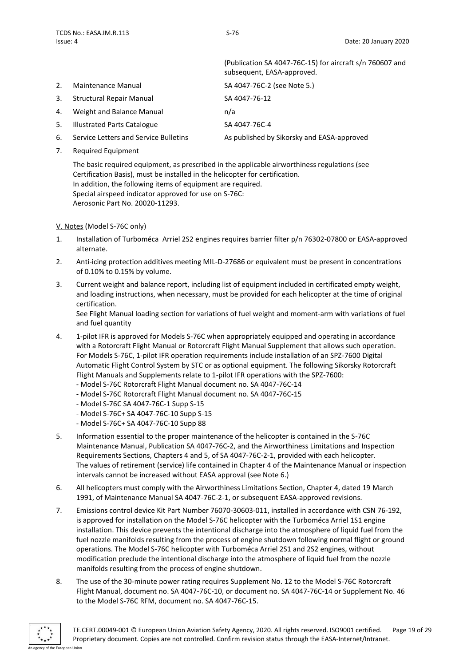|    |                                 | (Publication SA 4047-76C-15) for aircraft s/n 760607 and<br>subsequent, EASA-approved. |
|----|---------------------------------|----------------------------------------------------------------------------------------|
| 2. | Maintenance Manual              | SA 4047-76C-2 (see Note 5.)                                                            |
| 3. | <b>Structural Repair Manual</b> | SA 4047-76-12                                                                          |
| 4. | Weight and Balance Manual       | n/a                                                                                    |
|    | 5. Illustrated Parts Catalogue  | SA 4047-76C-4                                                                          |
|    |                                 |                                                                                        |

- 6. Service Letters and Service Bulletins As published by Sikorsky and EASA-approved
- 7. Required Equipment

The basic required equipment, as prescribed in the applicable airworthiness regulations (see Certification Basis), must be installed in the helicopter for certification. In addition, the following items of equipment are required. Special airspeed indicator approved for use on S-76C: Aerosonic Part No. 20020-11293.

<span id="page-18-0"></span>V. Notes (Model S-76C only)

- 1. Installation of Turboméca Arriel 2S2 engines requires barrier filter p/n 76302-07800 or EASA-approved alternate.
- 2. Anti-icing protection additives meeting MIL-D-27686 or equivalent must be present in concentrations of 0.10% to 0.15% by volume.
- 3. Current weight and balance report, including list of equipment included in certificated empty weight, and loading instructions, when necessary, must be provided for each helicopter at the time of original certification.

See Flight Manual loading section for variations of fuel weight and moment-arm with variations of fuel and fuel quantity

- 4. 1-pilot IFR is approved for Models S-76C when appropriately equipped and operating in accordance with a Rotorcraft Flight Manual or Rotorcraft Flight Manual Supplement that allows such operation. For Models S-76C, 1-pilot IFR operation requirements include installation of an SPZ-7600 Digital Automatic Flight Control System by STC or as optional equipment. The following Sikorsky Rotorcraft Flight Manuals and Supplements relate to 1-pilot IFR operations with the SPZ-7600:
	- Model S-76C Rotorcraft Flight Manual document no. SA 4047-76C-14
	- Model S-76C Rotorcraft Flight Manual document no. SA 4047-76C-15
	- Model S-76C SA 4047-76C-1 Supp S-15
	- Model S-76C+ SA 4047-76C-10 Supp S-15
	- Model S-76C+ SA 4047-76C-10 Supp 88
- 5. Information essential to the proper maintenance of the helicopter is contained in the S-76C Maintenance Manual, Publication SA 4047-76C-2, and the Airworthiness Limitations and Inspection Requirements Sections, Chapters 4 and 5, of SA 4047-76C-2-1, provided with each helicopter. The values of retirement (service) life contained in Chapter 4 of the Maintenance Manual or inspection intervals cannot be increased without EASA approval (see Note 6.)
- 6. All helicopters must comply with the Airworthiness Limitations Section, Chapter 4, dated 19 March 1991, of Maintenance Manual SA 4047-76C-2-1, or subsequent EASA-approved revisions.
- 7. Emissions control device Kit Part Number 76070-30603-011, installed in accordance with CSN 76-192, is approved for installation on the Model S-76C helicopter with the Turboméca Arriel 1S1 engine installation. This device prevents the intentional discharge into the atmosphere of liquid fuel from the fuel nozzle manifolds resulting from the process of engine shutdown following normal flight or ground operations. The Model S-76C helicopter with Turboméca Arriel 2S1 and 2S2 engines, without modification preclude the intentional discharge into the atmosphere of liquid fuel from the nozzle manifolds resulting from the process of engine shutdown.
- 8. The use of the 30-minute power rating requires Supplement No. 12 to the Model S-76C Rotorcraft Flight Manual, document no. SA 4047-76C-10, or document no. SA 4047-76C-14 or Supplement No. 46 to the Model S-76C RFM, document no. SA 4047-76C-15.

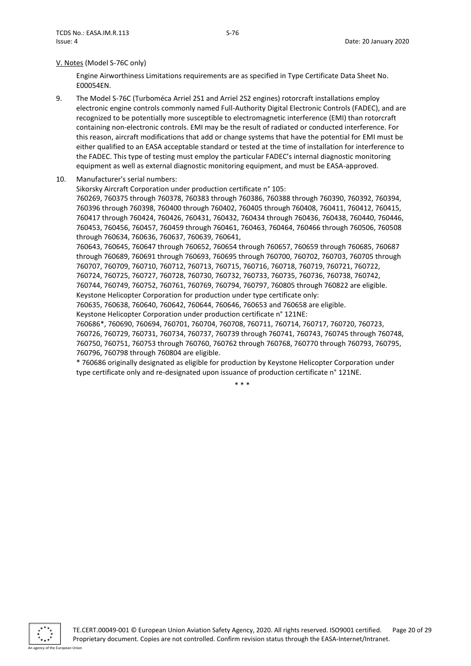#### V. Notes (Model S-76C only)

Engine Airworthiness Limitations requirements are as specified in Type Certificate Data Sheet No. E00054EN.

- 9. The Model S-76C (Turboméca Arriel 2S1 and Arriel 2S2 engines) rotorcraft installations employ electronic engine controls commonly named Full-Authority Digital Electronic Controls (FADEC), and are recognized to be potentially more susceptible to electromagnetic interference (EMI) than rotorcraft containing non-electronic controls. EMI may be the result of radiated or conducted interference. For this reason, aircraft modifications that add or change systems that have the potential for EMI must be either qualified to an EASA acceptable standard or tested at the time of installation for interference to the FADEC. This type of testing must employ the particular FADEC's internal diagnostic monitoring equipment as well as external diagnostic monitoring equipment, and must be EASA-approved.
- 10. Manufacturer's serial numbers:

Sikorsky Aircraft Corporation under production certificate n° 105: 760269, 760375 through 760378, 760383 through 760386, 760388 through 760390, 760392, 760394, 760396 through 760398, 760400 through 760402, 760405 through 760408, 760411, 760412, 760415, 760417 through 760424, 760426, 760431, 760432, 760434 through 760436, 760438, 760440, 760446, 760453, 760456, 760457, 760459 through 760461, 760463, 760464, 760466 through 760506, 760508 through 760634, 760636, 760637, 760639, 760641,

760643, 760645, 760647 through 760652, 760654 through 760657, 760659 through 760685, 760687 through 760689, 760691 through 760693, 760695 through 760700, 760702, 760703, 760705 through 760707, 760709, 760710, 760712, 760713, 760715, 760716, 760718, 760719, 760721, 760722, 760724, 760725, 760727, 760728, 760730, 760732, 760733, 760735, 760736, 760738, 760742,

760744, 760749, 760752, 760761, 760769, 760794, 760797, 760805 through 760822 are eligible. Keystone Helicopter Corporation for production under type certificate only:

760635, 760638, 760640, 760642, 760644, 760646, 760653 and 760658 are eligible.

Keystone Helicopter Corporation under production certificate n° 121NE:

760686\*, 760690, 760694, 760701, 760704, 760708, 760711, 760714, 760717, 760720, 760723, 760726, 760729, 760731, 760734, 760737, 760739 through 760741, 760743, 760745 through 760748, 760750, 760751, 760753 through 760760, 760762 through 760768, 760770 through 760793, 760795, 760796, 760798 through 760804 are eligible.

\* 760686 originally designated as eligible for production by Keystone Helicopter Corporation under type certificate only and re-designated upon issuance of production certificate n° 121NE.

\* \* \*

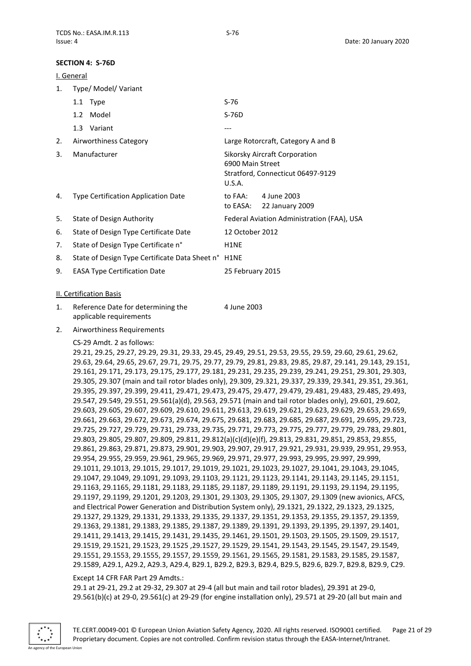#### <span id="page-20-0"></span>**SECTION 4: S-76D**

<span id="page-20-1"></span>

|    | I. General |                                                     |                            |                                                                    |
|----|------------|-----------------------------------------------------|----------------------------|--------------------------------------------------------------------|
| 1. |            | Type/ Model/ Variant                                |                            |                                                                    |
|    |            | 1.1 Type                                            | $S-76$                     |                                                                    |
|    | 1.2        | Model                                               | $S-76D$                    |                                                                    |
|    |            | 1.3 Variant                                         | ---                        |                                                                    |
| 2. |            | Airworthiness Category                              |                            | Large Rotorcraft, Category A and B                                 |
| 3. |            | Manufacturer                                        | 6900 Main Street<br>U.S.A. | Sikorsky Aircraft Corporation<br>Stratford, Connecticut 06497-9129 |
| 4. |            | Type Certification Application Date                 | to FAA:<br>to EASA:        | 4 June 2003<br>22 January 2009                                     |
| 5. |            | State of Design Authority                           |                            | Federal Aviation Administration (FAA), USA                         |
| 6. |            | State of Design Type Certificate Date               | 12 October 2012            |                                                                    |
| 7. |            | State of Design Type Certificate n°                 | H <sub>1</sub> NE          |                                                                    |
| 8. |            | State of Design Type Certificate Data Sheet n° H1NE |                            |                                                                    |
| 9. |            | <b>EASA Type Certification Date</b>                 | 25 February 2015           |                                                                    |
|    |            | <b>II. Certification Basis</b>                      |                            |                                                                    |

- <span id="page-20-2"></span>1. Reference Date for determining the applicable requirements 4 June 2003
- 2. Airworthiness Requirements
	- CS-29 Amdt. 2 as follows:

29.21, 29.25, 29.27, 29.29, 29.31, 29.33, 29.45, 29.49, 29.51, 29.53, 29.55, 29.59, 29.60, 29.61, 29.62, 29.63, 29.64, 29.65, 29.67, 29.71, 29.75, 29.77, 29.79, 29.81, 29.83, 29.85, 29.87, 29.141, 29.143, 29.151, 29.161, 29.171, 29.173, 29.175, 29.177, 29.181, 29.231, 29.235, 29.239, 29.241, 29.251, 29.301, 29.303, 29.305, 29.307 (main and tail rotor blades only), 29.309, 29.321, 29.337, 29.339, 29.341, 29.351, 29.361, 29.395, 29.397, 29.399, 29.411, 29.471, 29.473, 29.475, 29.477, 29.479, 29.481, 29.483, 29.485, 29.493, 29.547, 29.549, 29.551, 29.561(a)(d), 29.563, 29.571 (main and tail rotor blades only), 29.601, 29.602, 29.603, 29.605, 29.607, 29.609, 29.610, 29.611, 29.613, 29.619, 29.621, 29.623, 29.629, 29.653, 29.659, 29.661, 29.663, 29.672, 29.673, 29.674, 29.675, 29.681, 29.683, 29.685, 29.687, 29.691, 29.695, 29.723, 29.725, 29.727, 29.729, 29.731, 29.733, 29.735, 29.771, 29.773, 29.775, 29.777, 29.779, 29.783, 29.801, 29.803, 29.805, 29.807, 29.809, 29.811, 29.812(a)(c)(d)(e)(f), 29.813, 29.831, 29.851, 29.853, 29.855, 29.861, 29.863, 29.871, 29.873, 29.901, 29.903, 29.907, 29.917, 29.921, 29.931, 29.939, 29.951, 29.953, 29.954, 29.955, 29.959, 29.961, 29.965, 29.969, 29.971, 29.977, 29.993, 29.995, 29.997, 29.999, 29.1011, 29.1013, 29.1015, 29.1017, 29.1019, 29.1021, 29.1023, 29.1027, 29.1041, 29.1043, 29.1045, 29.1047, 29.1049, 29.1091, 29.1093, 29.1103, 29.1121, 29.1123, 29.1141, 29.1143, 29.1145, 29.1151, 29.1163, 29.1165, 29.1181, 29.1183, 29.1185, 29.1187, 29.1189, 29.1191, 29.1193, 29.1194, 29.1195, 29.1197, 29.1199, 29.1201, 29.1203, 29.1301, 29.1303, 29.1305, 29.1307, 29.1309 (new avionics, AFCS, and Electrical Power Generation and Distribution System only), 29.1321, 29.1322, 29.1323, 29.1325, 29.1327, 29.1329, 29.1331, 29.1333, 29.1335, 29.1337, 29.1351, 29.1353, 29.1355, 29.1357, 29.1359, 29.1363, 29.1381, 29.1383, 29.1385, 29.1387, 29.1389, 29.1391, 29.1393, 29.1395, 29.1397, 29.1401, 29.1411, 29.1413, 29.1415, 29.1431, 29.1435, 29.1461, 29.1501, 29.1503, 29.1505, 29.1509, 29.1517, 29.1519, 29.1521, 29.1523, 29.1525 ,29.1527, 29.1529, 29.1541, 29.1543, 29.1545, 29.1547, 29.1549, 29.1551, 29.1553, 29.1555, 29.1557, 29.1559, 29.1561, 29.1565, 29.1581, 29.1583, 29.1585, 29.1587, 29.1589, A29.1, A29.2, A29.3, A29.4, B29.1, B29.2, B29.3, B29.4, B29.5, B29.6, B29.7, B29.8, B29.9, C29.

#### Except 14 CFR FAR Part 29 Amdts.:

29.1 at 29-21, 29.2 at 29-32, 29.307 at 29-4 (all but main and tail rotor blades), 29.391 at 29-0, 29.561(b)(c) at 29-0, 29.561(c) at 29-29 (for engine installation only), 29.571 at 29-20 (all but main and

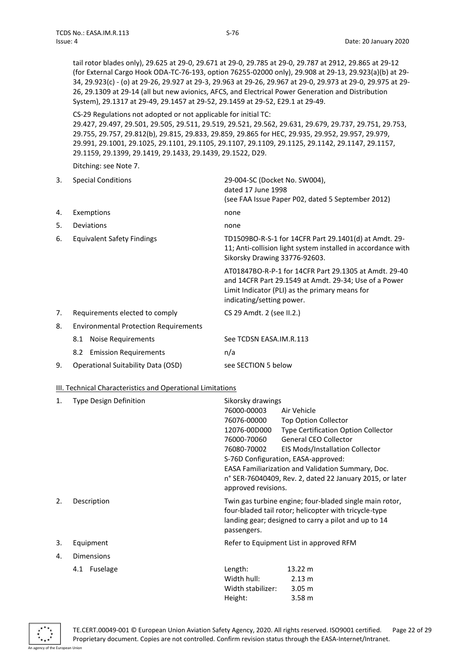tail rotor blades only), 29.625 at 29-0, 29.671 at 29-0, 29.785 at 29-0, 29.787 at 2912, 29.865 at 29-12 (for External Cargo Hook ODA-TC-76-193, option 76255-02000 only), 29.908 at 29-13, 29.923(a)(b) at 29- 34, 29.923(c) - (o) at 29-26, 29.927 at 29-3, 29.963 at 29-26, 29.967 at 29-0, 29.973 at 29-0, 29.975 at 29- 26, 29.1309 at 29-14 (all but new avionics, AFCS, and Electrical Power Generation and Distribution System), 29.1317 at 29-49, 29.1457 at 29-52, 29.1459 at 29-52, E29.1 at 29-49.

CS-29 Regulations not adopted or not applicable for initial TC:

29.427, 29.497, 29.501, 29.505, 29.511, 29.519, 29.521, 29.562, 29.631, 29.679, 29.737, 29.751, 29.753, 29.755, 29.757, 29.812(b), 29.815, 29.833, 29.859, 29.865 for HEC, 29.935, 29.952, 29.957, 29.979, 29.991, 29.1001, 29.1025, 29.1101, 29.1105, 29.1107, 29.1109, 29.1125, 29.1142, 29.1147, 29.1157, 29.1159, 29.1399, 29.1419, 29.1433, 29.1439, 29.1522, D29.

Ditching: see Note 7.

| 3. | <b>Special Conditions</b>                    | 29-004-SC (Docket No. SW004),<br>dated 17 June 1998<br>(see FAA Issue Paper P02, dated 5 September 2012)                                                                                      |
|----|----------------------------------------------|-----------------------------------------------------------------------------------------------------------------------------------------------------------------------------------------------|
| 4. | Exemptions                                   | none                                                                                                                                                                                          |
| 5. | Deviations                                   | none                                                                                                                                                                                          |
| 6. | Equivalent Safety Findings                   | TD1509BO-R-S-1 for 14CFR Part 29.1401(d) at Amdt. 29-<br>11; Anti-collision light system installed in accordance with<br>Sikorsky Drawing 33776-92603.                                        |
|    |                                              | AT01847BO-R-P-1 for 14CFR Part 29.1305 at Amdt, 29-40<br>and 14CFR Part 29.1549 at Amdt. 29-34; Use of a Power<br>Limit Indicator (PLI) as the primary means for<br>indicating/setting power. |
| 7. | Requirements elected to comply               | CS 29 Amdt. 2 (see II.2.)                                                                                                                                                                     |
| 8. | <b>Environmental Protection Requirements</b> |                                                                                                                                                                                               |
|    | Noise Requirements<br>8.1                    | See TCDSN EASA.IM.R.113                                                                                                                                                                       |
|    | 8.2 Emission Requirements                    | n/a                                                                                                                                                                                           |
| 9. | Operational Suitability Data (OSD)           | see SECTION 5 below                                                                                                                                                                           |

#### <span id="page-21-0"></span>III. Technical Characteristics and Operational Limitations

| 1. | <b>Type Design Definition</b> | Sikorsky drawings                                                                                                                                                                       |                                                          |
|----|-------------------------------|-----------------------------------------------------------------------------------------------------------------------------------------------------------------------------------------|----------------------------------------------------------|
|    |                               | 76000-00003                                                                                                                                                                             | Air Vehicle                                              |
|    |                               | 76076-00000                                                                                                                                                                             | <b>Top Option Collector</b>                              |
|    |                               | 12076-00D000                                                                                                                                                                            | <b>Type Certification Option Collector</b>               |
|    |                               | 76000-70060                                                                                                                                                                             | <b>General CEO Collector</b>                             |
|    |                               | 76080-70002                                                                                                                                                                             | <b>EIS Mods/Installation Collector</b>                   |
|    |                               |                                                                                                                                                                                         | S-76D Configuration, EASA-approved:                      |
|    |                               |                                                                                                                                                                                         | EASA Familiarization and Validation Summary, Doc.        |
|    |                               |                                                                                                                                                                                         | n° SER-76040409, Rev. 2, dated 22 January 2015, or later |
|    |                               | approved revisions.                                                                                                                                                                     |                                                          |
| 2. | Description                   | Twin gas turbine engine; four-bladed single main rotor,<br>four-bladed tail rotor; helicopter with tricycle-type<br>landing gear; designed to carry a pilot and up to 14<br>passengers. |                                                          |
| 3. | Equipment                     | Refer to Equipment List in approved RFM                                                                                                                                                 |                                                          |
| 4. | <b>Dimensions</b>             |                                                                                                                                                                                         |                                                          |
|    | 4.1 Fuselage                  | Length:                                                                                                                                                                                 | 13.22 m                                                  |
|    |                               | Width hull:                                                                                                                                                                             | 2.13 m                                                   |
|    |                               | Width stabilizer:                                                                                                                                                                       | 3.05 <sub>m</sub>                                        |
|    |                               | Height:                                                                                                                                                                                 | 3.58 <sub>m</sub>                                        |

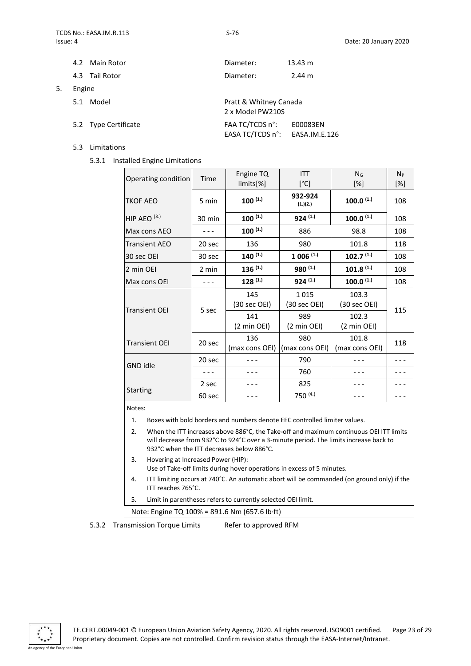5. Engine

| Main Rotor<br>4.2    | Diameter:       | 13.43 m                                    |  |
|----------------------|-----------------|--------------------------------------------|--|
| 4.3 Tail Rotor       | Diameter:       | $2.44 \text{ m}$                           |  |
| Engine               |                 |                                            |  |
| Model<br>5.1         |                 | Pratt & Whitney Canada<br>2 x Model PW210S |  |
| 5.2 Type Certificate | FAA TC/TCDS n°: | E00083EN<br>EASA TC/TCDS n°: EASA.IM.E.126 |  |

- 5.3 Limitations
	- 5.3.1 Installed Engine Limitations

| Operating condition                                                                                                                                                                                                                | Time                                                                                                         | Engine TQ<br>limits[%]           | <b>ITT</b><br>[°C]              | N <sub>G</sub><br>[%]            | $N_P$<br>$[\%]$ |
|------------------------------------------------------------------------------------------------------------------------------------------------------------------------------------------------------------------------------------|--------------------------------------------------------------------------------------------------------------|----------------------------------|---------------------------------|----------------------------------|-----------------|
| TKOF AEO                                                                                                                                                                                                                           | 5 min                                                                                                        | $100^{(1.)}$                     | 932-924<br>(1.)(2.)             | $100.0^{(1.)}$                   | 108             |
| HIP AEO $(3.)$                                                                                                                                                                                                                     | 30 min                                                                                                       | $100^{(1.)}$                     | $924$ (1.)                      | $100.0^{(1.)}$                   | 108             |
| Max cons AEO                                                                                                                                                                                                                       | - - -                                                                                                        | $100^{(1.)}$                     | 886                             | 98.8                             | 108             |
| <b>Transient AEO</b>                                                                                                                                                                                                               | 20 sec                                                                                                       | 136                              | 980                             | 101.8                            | 118             |
| 30 sec OEI                                                                                                                                                                                                                         | 30 sec                                                                                                       | $140^{(1.)}$                     | $1006$ (1.)                     | $102.7^{(1.)}$                   | 108             |
| 2 min OEI                                                                                                                                                                                                                          | 2 min                                                                                                        | $136^{(1.)}$                     | 980 (1.)                        | $101.8$ (1.)                     | 108             |
| Max cons OEI                                                                                                                                                                                                                       | $- - -$                                                                                                      | $128$ <sup>(1.)</sup>            | $924$ (1.)                      | $100.0^{(1.)}$                   | 108             |
| <b>Transient OEI</b>                                                                                                                                                                                                               | 5 sec                                                                                                        | 145<br>(30 sec OEI)              | 1015<br>$(30 \text{ sec }$ OEI) | 103.3<br>$(30 \text{ sec }$ OEI) | 115             |
|                                                                                                                                                                                                                                    |                                                                                                              | 141<br>$(2 \text{ min }$ OEI $)$ | 989<br>(2 min OEI)              | 102.3<br>(2 min OEI)             |                 |
| <b>Transient OEI</b>                                                                                                                                                                                                               | 20 sec                                                                                                       | 136<br>(max cons OEI)            | 980<br>(max cons OEI)           | 101.8<br>(max cons OEI)          | 118             |
| <b>GND idle</b>                                                                                                                                                                                                                    | 20 sec                                                                                                       | - - -                            | 790                             |                                  | - - -           |
|                                                                                                                                                                                                                                    | $- - -$                                                                                                      |                                  | 760                             |                                  |                 |
| <b>Starting</b>                                                                                                                                                                                                                    | 2 sec                                                                                                        |                                  | 825                             |                                  |                 |
|                                                                                                                                                                                                                                    | 60 sec                                                                                                       |                                  | 750 (4.)                        |                                  |                 |
| Notes:                                                                                                                                                                                                                             |                                                                                                              |                                  |                                 |                                  |                 |
| 1.<br>Boxes with bold borders and numbers denote EEC controlled limiter values.                                                                                                                                                    |                                                                                                              |                                  |                                 |                                  |                 |
| When the ITT increases above 886°C, the Take-off and maximum continuous OEI ITT limits<br>2.<br>will decrease from 932°C to 924°C over a 3-minute period. The limits increase back to<br>932°C when the ITT decreases below 886°C. |                                                                                                              |                                  |                                 |                                  |                 |
| 3.                                                                                                                                                                                                                                 | Hovering at Increased Power (HIP):<br>Use of Take-off limits during hover operations in excess of 5 minutes. |                                  |                                 |                                  |                 |
| ITT limiting occurs at 740°C. An automatic abort will be commanded (on ground only) if the<br>4.<br>ITT reaches 765°C.                                                                                                             |                                                                                                              |                                  |                                 |                                  |                 |

5. Limit in parentheses refers to currently selected OEI limit.

Note: Engine TQ 100% = 891.6 Nm (657.6 lb·ft)

5.3.2 Transmission Torque Limits Refer to approved RFM

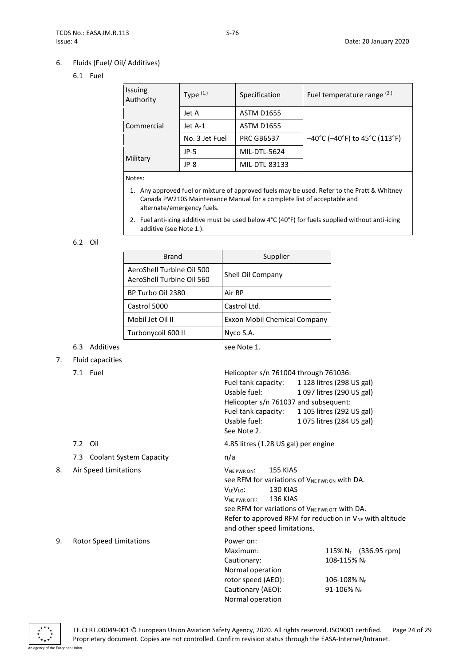# 6. Fluids (Fuel/ Oil/ Additives)

# 6.1 Fuel

| Issuing<br>Authority | Type $(1.1)$   | Specification     | Fuel temperature range (2.)                                              |
|----------------------|----------------|-------------------|--------------------------------------------------------------------------|
|                      | Jet A          | <b>ASTM D1655</b> |                                                                          |
| Commercial           | Jet A-1        | <b>ASTM D1655</b> |                                                                          |
|                      | No. 3 Jet Fuel | <b>PRC GB6537</b> | $-40^{\circ}$ C ( $-40^{\circ}$ F) to 45 $^{\circ}$ C (113 $^{\circ}$ F) |
|                      | $JP-5$         | MIL-DTL-5624      |                                                                          |
| Military             | JP-8           | MIL-DTL-83133     |                                                                          |

Notes:

- 1. Any approved fuel or mixture of approved fuels may be used. Refer to the Pratt & Whitney Canada PW210S Maintenance Manual for a complete list of acceptable and alternate/emergency fuels.
- 2. Fuel anti-icing additive must be used below 4°C (40°F) for fuels supplied without anti-icing additive (see Note 1.).

#### 6.2 Oil

| <b>Brand</b>                                           | Supplier                     |
|--------------------------------------------------------|------------------------------|
| AeroShell Turbine Oil 500<br>AeroShell Turbine Oil 560 | Shell Oil Company            |
| BP Turbo Oil 2380                                      | Air BP                       |
| Castrol 5000                                           | Castrol Ltd.                 |
| Mobil Jet Oil II                                       | Exxon Mobil Chemical Company |
| Turbonycoil 600 II                                     | Nyco S.A.                    |

# 6.3 Additives see Note 1.

### 7. Fluid capacities

7.3 Coolant System Capacity **n/a** 

7.1 Fuel Helicopter s/n 761004 through 761036: Fuel tank capacity: 1 128 litres (298 US gal) Usable fuel: 1 097 litres (290 US gal) Helicopter s/n 761037 and subsequent: Fuel tank capacity: 1 105 litres (292 US gal) Usable fuel: 1 075 litres (284 US gal) See Note 2.

7.2 Oil 4.85 litres (1.28 US gal) per engine

8. Air Speed Limitations VNE PWR ON: 155 KIAS See RFM for variations of VNE PWR ON With DA. VLEVLO: 130 KIAS VNE PWR OFF: 136 KIAS See RFM for variations of VNE PWR OFF with DA. Refer to approved RFM for reduction in  $V_{NE}$  with altitude and other speed limitations.

9. Rotor Speed Limitations

| Power on:          |                                  |
|--------------------|----------------------------------|
| Maximum:           | 115% N <sub>r</sub> (336.95 rpm) |
| Cautionary:        | 108-115% Nr                      |
| Normal operation   |                                  |
| rotor speed (AEO): | 106-108% Nr                      |
| Cautionary (AEO):  | 91-106% Nr                       |
| Normal operation   |                                  |

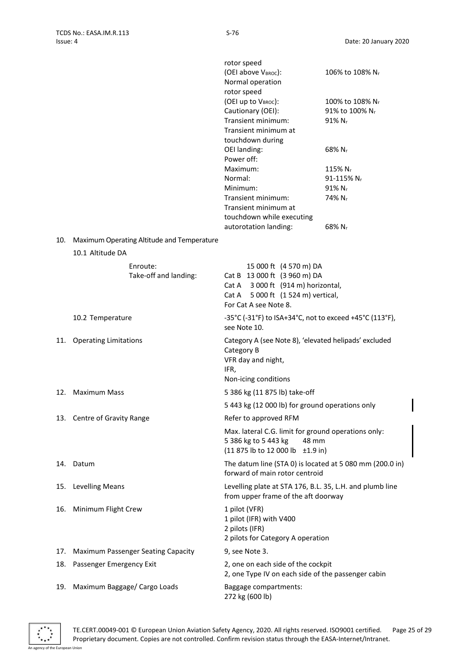|     |                                            | rotor speed                                                                                |                             |
|-----|--------------------------------------------|--------------------------------------------------------------------------------------------|-----------------------------|
|     |                                            | (OEI above VBROC):                                                                         | 106% to 108% N <sub>r</sub> |
|     |                                            | Normal operation                                                                           |                             |
|     |                                            | rotor speed                                                                                |                             |
|     |                                            | (OEI up to VBROC):                                                                         | 100% to 108% N <sub>r</sub> |
|     |                                            | Cautionary (OEI):                                                                          | 91% to 100% N <sub>r</sub>  |
|     |                                            | Transient minimum:                                                                         | $91\%$ N <sub>r</sub>       |
|     |                                            | Transient minimum at                                                                       |                             |
|     |                                            | touchdown during                                                                           |                             |
|     |                                            | OEI landing:                                                                               | 68% N <sub>r</sub>          |
|     |                                            | Power off:                                                                                 |                             |
|     |                                            | Maximum:                                                                                   | 115% N <sub>r</sub>         |
|     |                                            | Normal:                                                                                    | 91-115% N <sub>r</sub>      |
|     |                                            | Minimum:                                                                                   | $91\% N_r$                  |
|     |                                            | Transient minimum:                                                                         | 74% N <sub>r</sub>          |
|     |                                            | Transient minimum at                                                                       |                             |
|     |                                            | touchdown while executing                                                                  |                             |
|     |                                            | autorotation landing:                                                                      | $68\%$ N <sub>r</sub>       |
| 10. | Maximum Operating Altitude and Temperature |                                                                                            |                             |
|     | 10.1 Altitude DA                           |                                                                                            |                             |
|     |                                            |                                                                                            |                             |
|     | Enroute:                                   | 15 000 ft (4 570 m) DA                                                                     |                             |
|     | Take-off and landing:                      | Cat B 13 000 ft (3 960 m) DA                                                               |                             |
|     |                                            | Cat A 3 000 ft (914 m) horizontal,                                                         |                             |
|     |                                            | 5 000 ft (1 524 m) vertical,<br>Cat A<br>For Cat A see Note 8.                             |                             |
|     |                                            |                                                                                            |                             |
|     | 10.2 Temperature                           | -35°C (-31°F) to ISA+34°C, not to exceed +45°C (113°F),                                    |                             |
|     |                                            | see Note 10.                                                                               |                             |
| 11. | <b>Operating Limitations</b>               | Category A (see Note 8), 'elevated helipads' excluded                                      |                             |
|     |                                            | Category B                                                                                 |                             |
|     |                                            | VFR day and night,                                                                         |                             |
|     |                                            | IFR,                                                                                       |                             |
|     |                                            | Non-icing conditions                                                                       |                             |
| 12. | <b>Maximum Mass</b>                        | 5 386 kg (11 875 lb) take-off                                                              |                             |
|     |                                            | 5 443 kg (12 000 lb) for ground operations only                                            |                             |
|     | 13. Centre of Gravity Range                | Refer to approved RFM                                                                      |                             |
|     |                                            | Max. lateral C.G. limit for ground operations only:                                        |                             |
|     |                                            | 5 386 kg to 5 443 kg<br>48 mm                                                              |                             |
|     |                                            | (11 875 lb to 12 000 lb ±1.9 in)                                                           |                             |
|     |                                            |                                                                                            |                             |
|     | 14. Datum                                  | The datum line (STA 0) is located at 5 080 mm (200.0 in)<br>forward of main rotor centroid |                             |
|     |                                            |                                                                                            |                             |
| 15. | <b>Levelling Means</b>                     | Levelling plate at STA 176, B.L. 35, L.H. and plumb line                                   |                             |
|     |                                            | from upper frame of the aft doorway                                                        |                             |
| 16. | Minimum Flight Crew                        | 1 pilot (VFR)                                                                              |                             |
|     |                                            | 1 pilot (IFR) with V400                                                                    |                             |
|     |                                            | 2 pilots (IFR)                                                                             |                             |
|     |                                            | 2 pilots for Category A operation                                                          |                             |
| 17. | <b>Maximum Passenger Seating Capacity</b>  | 9, see Note 3.                                                                             |                             |
| 18. | Passenger Emergency Exit                   | 2, one on each side of the cockpit                                                         |                             |
|     |                                            | 2, one Type IV on each side of the passenger cabin                                         |                             |
| 19. | Maximum Baggage/ Cargo Loads               | Baggage compartments:                                                                      |                             |
|     |                                            | 272 kg (600 lb)                                                                            |                             |
|     |                                            |                                                                                            |                             |

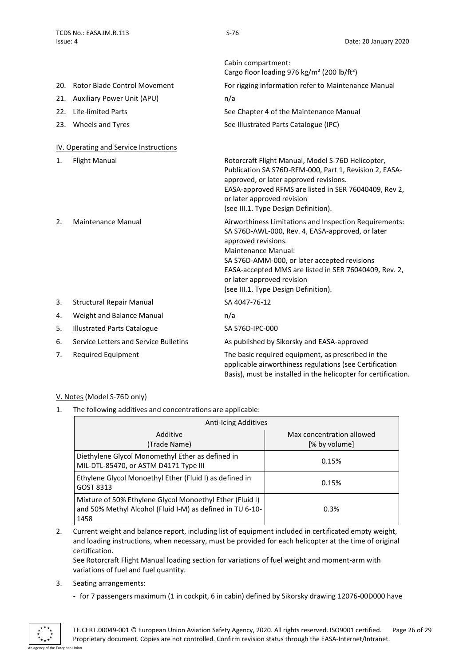<span id="page-25-0"></span>

|     |                                        | Cabin compartment:<br>Cargo floor loading 976 kg/m <sup>2</sup> (200 lb/ft <sup>2</sup> )                                                                                                                                                                                                                                                      |
|-----|----------------------------------------|------------------------------------------------------------------------------------------------------------------------------------------------------------------------------------------------------------------------------------------------------------------------------------------------------------------------------------------------|
| 20. | Rotor Blade Control Movement           | For rigging information refer to Maintenance Manual                                                                                                                                                                                                                                                                                            |
| 21. | <b>Auxiliary Power Unit (APU)</b>      | n/a                                                                                                                                                                                                                                                                                                                                            |
| 22. | Life-limited Parts                     | See Chapter 4 of the Maintenance Manual                                                                                                                                                                                                                                                                                                        |
|     | 23. Wheels and Tyres                   | See Illustrated Parts Catalogue (IPC)                                                                                                                                                                                                                                                                                                          |
|     | IV. Operating and Service Instructions |                                                                                                                                                                                                                                                                                                                                                |
| 1.  | <b>Flight Manual</b>                   | Rotorcraft Flight Manual, Model S-76D Helicopter,<br>Publication SA S76D-RFM-000, Part 1, Revision 2, EASA-<br>approved, or later approved revisions.<br>EASA-approved RFMS are listed in SER 76040409, Rev 2,<br>or later approved revision<br>(see III.1. Type Design Definition).                                                           |
| 2.  | <b>Maintenance Manual</b>              | Airworthiness Limitations and Inspection Requirements:<br>SA S76D-AWL-000, Rev. 4, EASA-approved, or later<br>approved revisions.<br><b>Maintenance Manual:</b><br>SA S76D-AMM-000, or later accepted revisions<br>EASA-accepted MMS are listed in SER 76040409, Rev. 2,<br>or later approved revision<br>(see III.1. Type Design Definition). |
| 3.  | <b>Structural Repair Manual</b>        | SA 4047-76-12                                                                                                                                                                                                                                                                                                                                  |
| 4.  | Weight and Balance Manual              | n/a                                                                                                                                                                                                                                                                                                                                            |
| 5.  | <b>Illustrated Parts Catalogue</b>     | SA S76D-IPC-000                                                                                                                                                                                                                                                                                                                                |
| 6.  | Service Letters and Service Bulletins  | As published by Sikorsky and EASA-approved                                                                                                                                                                                                                                                                                                     |
| 7.  | <b>Required Equipment</b>              | The basic required equipment, as prescribed in the<br>applicable airworthiness regulations (see Certification<br>Basis), must be installed in the helicopter for certification.                                                                                                                                                                |

### <span id="page-25-1"></span>V. Notes (Model S-76D only)

1. The following additives and concentrations are applicable:

| <b>Anti-Icing Additives</b>                                                                                                   |                                            |  |
|-------------------------------------------------------------------------------------------------------------------------------|--------------------------------------------|--|
| Additive<br>(Trade Name)                                                                                                      | Max concentration allowed<br>[% by volume] |  |
| Diethylene Glycol Monomethyl Ether as defined in<br>MIL-DTL-85470, or ASTM D4171 Type III                                     | 0.15%                                      |  |
| Ethylene Glycol Monoethyl Ether (Fluid I) as defined in<br>GOST 8313                                                          | 0.15%                                      |  |
| Mixture of 50% Ethylene Glycol Monoethyl Ether (Fluid I)<br>and 50% Methyl Alcohol (Fluid I-M) as defined in TU 6-10-<br>1458 | 0.3%                                       |  |

2. Current weight and balance report, including list of equipment included in certificated empty weight, and loading instructions, when necessary, must be provided for each helicopter at the time of original certification.

See Rotorcraft Flight Manual loading section for variations of fuel weight and moment-arm with variations of fuel and fuel quantity.

- 3. Seating arrangements:
	- for 7 passengers maximum (1 in cockpit, 6 in cabin) defined by Sikorsky drawing 12076-00D000 have

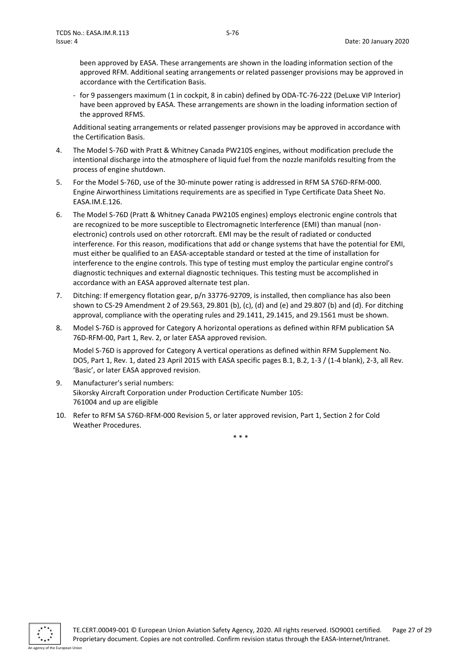been approved by EASA. These arrangements are shown in the loading information section of the approved RFM. Additional seating arrangements or related passenger provisions may be approved in accordance with the Certification Basis.

- for 9 passengers maximum (1 in cockpit, 8 in cabin) defined by ODA-TC-76-222 (DeLuxe VIP Interior) have been approved by EASA. These arrangements are shown in the loading information section of the approved RFMS.

Additional seating arrangements or related passenger provisions may be approved in accordance with the Certification Basis.

- 4. The Model S-76D with Pratt & Whitney Canada PW210S engines, without modification preclude the intentional discharge into the atmosphere of liquid fuel from the nozzle manifolds resulting from the process of engine shutdown.
- 5. For the Model S-76D, use of the 30-minute power rating is addressed in RFM SA S76D-RFM-000. Engine Airworthiness Limitations requirements are as specified in Type Certificate Data Sheet No. EASA.IM.E.126.
- 6. The Model S-76D (Pratt & Whitney Canada PW210S engines) employs electronic engine controls that are recognized to be more susceptible to Electromagnetic Interference (EMI) than manual (nonelectronic) controls used on other rotorcraft. EMI may be the result of radiated or conducted interference. For this reason, modifications that add or change systems that have the potential for EMI, must either be qualified to an EASA-acceptable standard or tested at the time of installation for interference to the engine controls. This type of testing must employ the particular engine control's diagnostic techniques and external diagnostic techniques. This testing must be accomplished in accordance with an EASA approved alternate test plan.
- 7. Ditching: If emergency flotation gear, p/n 33776-92709, is installed, then compliance has also been shown to CS-29 Amendment 2 of 29.563, 29.801 (b), (c), (d) and (e) and 29.807 (b) and (d). For ditching approval, compliance with the operating rules and 29.1411, 29.1415, and 29.1561 must be shown.
- 8. Model S-76D is approved for Category A horizontal operations as defined within RFM publication SA 76D-RFM-00, Part 1, Rev. 2, or later EASA approved revision.

Model S-76D is approved for Category A vertical operations as defined within RFM Supplement No. DO5, Part 1, Rev. 1, dated 23 April 2015 with EASA specific pages B.1, B.2, 1-3 / (1-4 blank), 2-3, all Rev. 'Basic', or later EASA approved revision.

- 9. Manufacturer's serial numbers: Sikorsky Aircraft Corporation under Production Certificate Number 105: 761004 and up are eligible
- 10. Refer to RFM SA S76D-RFM-000 Revision 5, or later approved revision, Part 1, Section 2 for Cold Weather Procedures.

\* \* \*

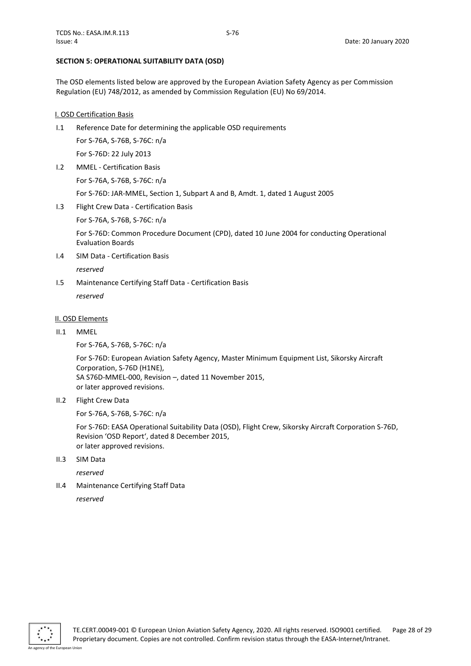#### <span id="page-27-0"></span>**SECTION 5: OPERATIONAL SUITABILITY DATA (OSD)**

The OSD elements listed below are approved by the European Aviation Safety Agency as per Commission Regulation (EU) 748/2012, as amended by Commission Regulation (EU) No 69/2014.

### <span id="page-27-1"></span>I. OSD Certification Basis

I.1 Reference Date for determining the applicable OSD requirements

For S-76A, S-76B, S-76C: n/a For S-76D: 22 July 2013

I.2 MMEL - Certification Basis

For S-76A, S-76B, S-76C: n/a

For S-76D: JAR-MMEL, Section 1, Subpart A and B, Amdt. 1, dated 1 August 2005

I.3 Flight Crew Data - Certification Basis

For S-76A, S-76B, S-76C: n/a

For S-76D: Common Procedure Document (CPD), dated 10 June 2004 for conducting Operational Evaluation Boards

I.4 SIM Data - Certification Basis

*reserved*

I.5 Maintenance Certifying Staff Data - Certification Basis *reserved*

#### <span id="page-27-2"></span>II. OSD Elements

II.1 MMEL

For S-76A, S-76B, S-76C: n/a

For S-76D: European Aviation Safety Agency, Master Minimum Equipment List, Sikorsky Aircraft Corporation, S-76D (H1NE), SA S76D-MMEL-000, Revision –, dated 11 November 2015, or later approved revisions.

II.2 Flight Crew Data

For S-76A, S-76B, S-76C: n/a

For S-76D: EASA Operational Suitability Data (OSD), Flight Crew, Sikorsky Aircraft Corporation S-76D, Revision 'OSD Report', dated 8 December 2015, or later approved revisions.

II.3 SIM Data

*reserved*

II.4 Maintenance Certifying Staff Data

*reserved*